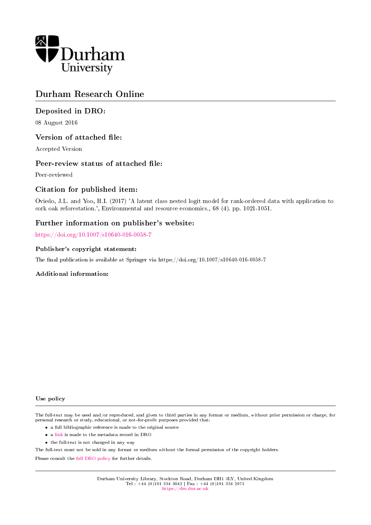

# Durham Research Online

### Deposited in DRO:

08 August 2016

### Version of attached file:

Accepted Version

### Peer-review status of attached file:

Peer-reviewed

### Citation for published item:

Oviedo, J.L. and Yoo, H.I. (2017) 'A latent class nested logit model for rank-ordered data with application to cork oak reforestation.', Environmental and resource economics., 68 (4). pp. 1021-1051.

### Further information on publisher's website:

<https://doi.org/10.1007/s10640-016-0058-7>

#### Publisher's copyright statement:

The final publication is available at Springer via https://doi.org/10.1007/s10640-016-0058-7

### Additional information:

#### Use policy

The full-text may be used and/or reproduced, and given to third parties in any format or medium, without prior permission or charge, for personal research or study, educational, or not-for-profit purposes provided that:

- a full bibliographic reference is made to the original source
- a [link](http://dro.dur.ac.uk/19473/) is made to the metadata record in DRO
- the full-text is not changed in any way

The full-text must not be sold in any format or medium without the formal permission of the copyright holders.

Please consult the [full DRO policy](https://dro.dur.ac.uk/policies/usepolicy.pdf) for further details.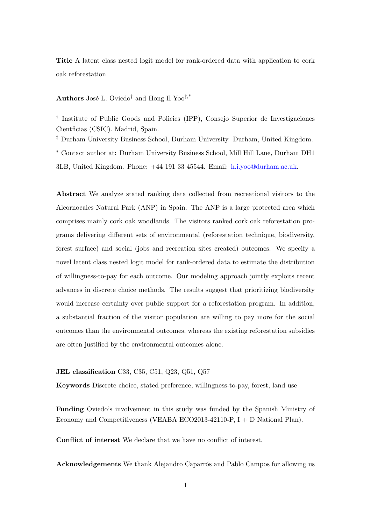Title A latent class nested logit model for rank-ordered data with application to cork oak reforestation

Authors José L. Oviedo<sup>†</sup> and Hong Il Yoo<sup>‡,\*</sup>

† Institute of Public Goods and Policies (IPP), Consejo Superior de Investigaciones Cientficias (CSIC). Madrid, Spain.

‡ Durham University Business School, Durham University. Durham, United Kingdom.

<sup>∗</sup> Contact author at: Durham University Business School, Mill Hill Lane, Durham DH1 3LB, United Kingdom. Phone: +44 191 33 45544. Email: [h.i.yoo@durham.ac.uk.](mailto:h.i.yoo@durham.ac.uk)

Abstract We analyze stated ranking data collected from recreational visitors to the Alcornocales Natural Park (ANP) in Spain. The ANP is a large protected area which comprises mainly cork oak woodlands. The visitors ranked cork oak reforestation programs delivering different sets of environmental (reforestation technique, biodiversity, forest surface) and social (jobs and recreation sites created) outcomes. We specify a novel latent class nested logit model for rank-ordered data to estimate the distribution of willingness-to-pay for each outcome. Our modeling approach jointly exploits recent advances in discrete choice methods. The results suggest that prioritizing biodiversity would increase certainty over public support for a reforestation program. In addition, a substantial fraction of the visitor population are willing to pay more for the social outcomes than the environmental outcomes, whereas the existing reforestation subsidies are often justified by the environmental outcomes alone.

### JEL classification C33, C35, C51, Q23, Q51, Q57

Keywords Discrete choice, stated preference, willingness-to-pay, forest, land use

Funding Oviedo's involvement in this study was funded by the Spanish Ministry of Economy and Competitiveness (VEABA ECO2013-42110-P, I + D National Plan).

Conflict of interest We declare that we have no conflict of interest.

Acknowledgements We thank Alejandro Caparrós and Pablo Campos for allowing us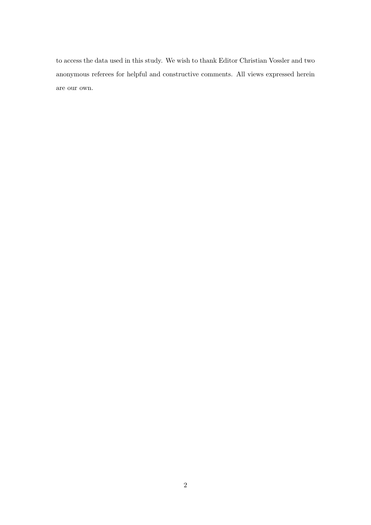to access the data used in this study. We wish to thank Editor Christian Vossler and two anonymous referees for helpful and constructive comments. All views expressed herein are our own.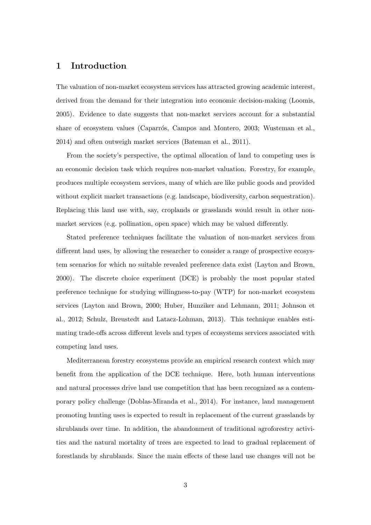### 1 Introduction

The valuation of non-market ecosystem services has attracted growing academic interest, derived from the demand for their integration into economic decision-making (Loomis, 2005). Evidence to date suggests that non-market services account for a substantial share of ecosystem values (Caparrós, Campos and Montero, 2003; Wusteman et al., 2014) and often outweigh market services (Bateman et al., 2011).

From the society's perspective, the optimal allocation of land to competing uses is an economic decision task which requires non-market valuation. Forestry, for example, produces multiple ecosystem services, many of which are like public goods and provided without explicit market transactions (e.g. landscape, biodiversity, carbon sequestration). Replacing this land use with, say, croplands or grasslands would result in other nonmarket services (e.g. pollination, open space) which may be valued differently.

Stated preference techniques facilitate the valuation of non-market services from different land uses, by allowing the researcher to consider a range of prospective ecosystem scenarios for which no suitable revealed preference data exist (Layton and Brown, 2000). The discrete choice experiment (DCE) is probably the most popular stated preference technique for studying willingness-to-pay (WTP) for non-market ecosystem services (Layton and Brown, 2000; Huber, Hunziker and Lehmann, 2011; Johnson et al., 2012; Schulz, Breustedt and Latacz-Lohman, 2013). This technique enables estimating trade-offs across different levels and types of ecosystems services associated with competing land uses.

Mediterranean forestry ecosystems provide an empirical research context which may benefit from the application of the DCE technique. Here, both human interventions and natural processes drive land use competition that has been recognized as a contemporary policy challenge (Doblas-Miranda et al., 2014). For instance, land management promoting hunting uses is expected to result in replacement of the current grasslands by shrublands over time. In addition, the abandonment of traditional agroforestry activities and the natural mortality of trees are expected to lead to gradual replacement of forestlands by shrublands. Since the main effects of these land use changes will not be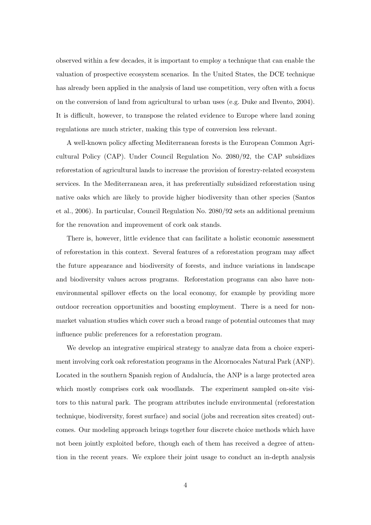observed within a few decades, it is important to employ a technique that can enable the valuation of prospective ecosystem scenarios. In the United States, the DCE technique has already been applied in the analysis of land use competition, very often with a focus on the conversion of land from agricultural to urban uses (e.g. Duke and Ilvento, 2004). It is difficult, however, to transpose the related evidence to Europe where land zoning regulations are much stricter, making this type of conversion less relevant.

A well-known policy affecting Mediterranean forests is the European Common Agricultural Policy (CAP). Under Council Regulation No. 2080/92, the CAP subsidizes reforestation of agricultural lands to increase the provision of forestry-related ecosystem services. In the Mediterranean area, it has preferentially subsidized reforestation using native oaks which are likely to provide higher biodiversity than other species (Santos et al., 2006). In particular, Council Regulation No. 2080/92 sets an additional premium for the renovation and improvement of cork oak stands.

There is, however, little evidence that can facilitate a holistic economic assessment of reforestation in this context. Several features of a reforestation program may affect the future appearance and biodiversity of forests, and induce variations in landscape and biodiversity values across programs. Reforestation programs can also have nonenvironmental spillover effects on the local economy, for example by providing more outdoor recreation opportunities and boosting employment. There is a need for nonmarket valuation studies which cover such a broad range of potential outcomes that may influence public preferences for a reforestation program.

We develop an integrative empirical strategy to analyze data from a choice experiment involving cork oak reforestation programs in the Alcornocales Natural Park (ANP). Located in the southern Spanish region of Andalucía, the ANP is a large protected area which mostly comprises cork oak woodlands. The experiment sampled on-site visitors to this natural park. The program attributes include environmental (reforestation technique, biodiversity, forest surface) and social (jobs and recreation sites created) outcomes. Our modeling approach brings together four discrete choice methods which have not been jointly exploited before, though each of them has received a degree of attention in the recent years. We explore their joint usage to conduct an in-depth analysis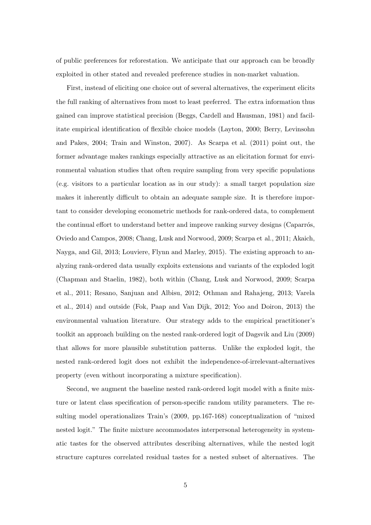of public preferences for reforestation. We anticipate that our approach can be broadly exploited in other stated and revealed preference studies in non-market valuation.

First, instead of eliciting one choice out of several alternatives, the experiment elicits the full ranking of alternatives from most to least preferred. The extra information thus gained can improve statistical precision (Beggs, Cardell and Hausman, 1981) and facilitate empirical identification of flexible choice models (Layton, 2000; Berry, Levinsohn and Pakes, 2004; Train and Winston, 2007). As Scarpa et al. (2011) point out, the former advantage makes rankings especially attractive as an elicitation format for environmental valuation studies that often require sampling from very specific populations (e.g. visitors to a particular location as in our study): a small target population size makes it inherently difficult to obtain an adequate sample size. It is therefore important to consider developing econometric methods for rank-ordered data, to complement the continual effort to understand better and improve ranking survey designs (Caparrós, Oviedo and Campos, 2008; Chang, Lusk and Norwood, 2009; Scarpa et al., 2011; Akaich, Nayga, and Gil, 2013; Louviere, Flynn and Marley, 2015). The existing approach to analyzing rank-ordered data usually exploits extensions and variants of the exploded logit (Chapman and Staelin, 1982), both within (Chang, Lusk and Norwood, 2009; Scarpa et al., 2011; Resano, Sanjuan and Albisu, 2012; Othman and Rahajeng, 2013; Varela et al., 2014) and outside (Fok, Paap and Van Dijk, 2012; Yoo and Doiron, 2013) the environmental valuation literature. Our strategy adds to the empirical practitioner's toolkit an approach building on the nested rank-ordered logit of Dagsvik and Liu (2009) that allows for more plausible substitution patterns. Unlike the exploded logit, the nested rank-ordered logit does not exhibit the independence-of-irrelevant-alternatives property (even without incorporating a mixture specification).

Second, we augment the baseline nested rank-ordered logit model with a finite mixture or latent class specification of person-specific random utility parameters. The resulting model operationalizes Train's (2009, pp.167-168) conceptualization of "mixed nested logit." The finite mixture accommodates interpersonal heterogeneity in systematic tastes for the observed attributes describing alternatives, while the nested logit structure captures correlated residual tastes for a nested subset of alternatives. The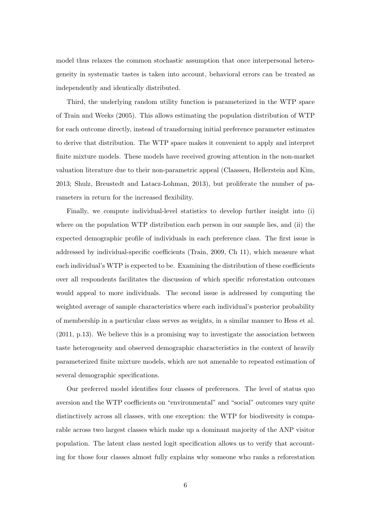model thus relaxes the common stochastic assumption that once interpersonal heterogeneity in systematic tastes is taken into account, behavioral errors can be treated as independently and identically distributed.

Third, the underlying random utility function is parameterized in the WTP space of Train and Weeks (2005). This allows estimating the population distribution of WTP for each outcome directly, instead of transforming initial preference parameter estimates to derive that distribution. The WTP space makes it convenient to apply and interpret finite mixture models. These models have received growing attention in the non-market valuation literature due to their non-parametric appeal (Claassen, Hellerstein and Kim, 2013; Shulz, Breustedt and Latacz-Lohman, 2013), but proliferate the number of parameters in return for the increased flexibility.

Finally, we compute individual-level statistics to develop further insight into (i) where on the population WTP distribution each person in our sample lies, and (ii) the expected demographic profile of individuals in each preference class. The first issue is addressed by individual-specific coefficients (Train, 2009, Ch 11), which measure what each individual's WTP is expected to be. Examining the distribution of these coefficients over all respondents facilitates the discussion of which specific reforestation outcomes would appeal to more individuals. The second issue is addressed by computing the weighted average of sample characteristics where each individual's posterior probability of membership in a particular class serves as weights, in a similar manner to Hess et al. (2011, p.13). We believe this is a promising way to investigate the association between taste heterogeneity and observed demographic characteristics in the context of heavily parameterized finite mixture models, which are not amenable to repeated estimation of several demographic specifications.

Our preferred model identifies four classes of preferences. The level of status quo aversion and the WTP coefficients on "environmental" and "social" outcomes vary quite distinctively across all classes, with one exception: the WTP for biodiversity is comparable across two largest classes which make up a dominant majority of the ANP visitor population. The latent class nested logit specification allows us to verify that accounting for those four classes almost fully explains why someone who ranks a reforestation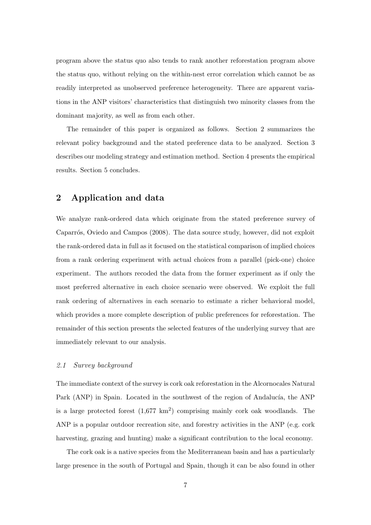program above the status quo also tends to rank another reforestation program above the status quo, without relying on the within-nest error correlation which cannot be as readily interpreted as unobserved preference heterogeneity. There are apparent variations in the ANP visitors' characteristics that distinguish two minority classes from the dominant majority, as well as from each other.

The remainder of this paper is organized as follows. Section 2 summarizes the relevant policy background and the stated preference data to be analyzed. Section 3 describes our modeling strategy and estimation method. Section 4 presents the empirical results. Section 5 concludes.

### 2 Application and data

We analyze rank-ordered data which originate from the stated preference survey of Caparrós, Oviedo and Campos (2008). The data source study, however, did not exploit the rank-ordered data in full as it focused on the statistical comparison of implied choices from a rank ordering experiment with actual choices from a parallel (pick-one) choice experiment. The authors recoded the data from the former experiment as if only the most preferred alternative in each choice scenario were observed. We exploit the full rank ordering of alternatives in each scenario to estimate a richer behavioral model, which provides a more complete description of public preferences for reforestation. The remainder of this section presents the selected features of the underlying survey that are immediately relevant to our analysis.

#### 2.1 Survey background

The immediate context of the survey is cork oak reforestation in the Alcornocales Natural Park (ANP) in Spain. Located in the southwest of the region of Andalucía, the ANP is a large protected forest  $(1.677 \text{ km}^2)$  comprising mainly cork oak woodlands. The ANP is a popular outdoor recreation site, and forestry activities in the ANP (e.g. cork harvesting, grazing and hunting) make a significant contribution to the local economy.

The cork oak is a native species from the Mediterranean basin and has a particularly large presence in the south of Portugal and Spain, though it can be also found in other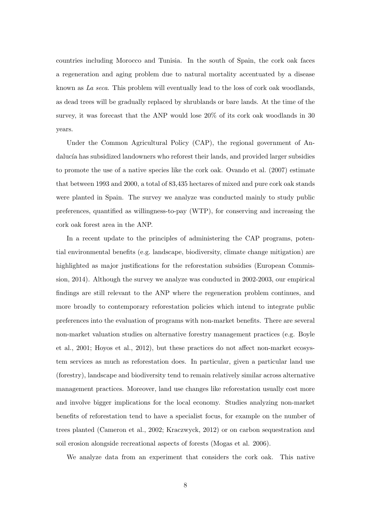countries including Morocco and Tunisia. In the south of Spain, the cork oak faces a regeneration and aging problem due to natural mortality accentuated by a disease known as La seca. This problem will eventually lead to the loss of cork oak woodlands, as dead trees will be gradually replaced by shrublands or bare lands. At the time of the survey, it was forecast that the ANP would lose 20% of its cork oak woodlands in 30 years.

Under the Common Agricultural Policy (CAP), the regional government of Andalucía has subsidized landowners who reforest their lands, and provided larger subsidies to promote the use of a native species like the cork oak. Ovando et al. (2007) estimate that between 1993 and 2000, a total of 83,435 hectares of mixed and pure cork oak stands were planted in Spain. The survey we analyze was conducted mainly to study public preferences, quantified as willingness-to-pay (WTP), for conserving and increasing the cork oak forest area in the ANP.

In a recent update to the principles of administering the CAP programs, potential environmental benefits (e.g. landscape, biodiversity, climate change mitigation) are highlighted as major justifications for the reforestation subsidies (European Commission, 2014). Although the survey we analyze was conducted in 2002-2003, our empirical findings are still relevant to the ANP where the regeneration problem continues, and more broadly to contemporary reforestation policies which intend to integrate public preferences into the evaluation of programs with non-market benefits. There are several non-market valuation studies on alternative forestry management practices (e.g. Boyle et al., 2001; Hoyos et al., 2012), but these practices do not affect non-market ecosystem services as much as reforestation does. In particular, given a particular land use (forestry), landscape and biodiversity tend to remain relatively similar across alternative management practices. Moreover, land use changes like reforestation usually cost more and involve bigger implications for the local economy. Studies analyzing non-market benefits of reforestation tend to have a specialist focus, for example on the number of trees planted (Cameron et al., 2002; Kraczwyck, 2012) or on carbon sequestration and soil erosion alongside recreational aspects of forests (Mogas et al. 2006).

We analyze data from an experiment that considers the cork oak. This native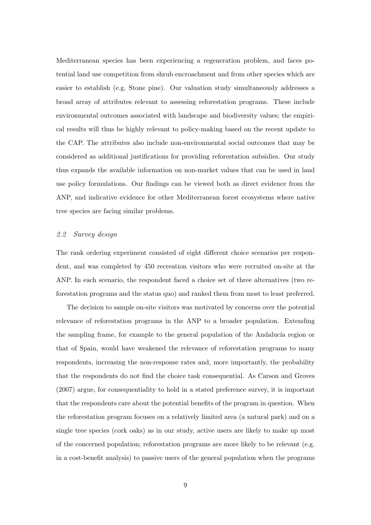Mediterranean species has been experiencing a regeneration problem, and faces potential land use competition from shrub encroachment and from other species which are easier to establish (e.g. Stone pine). Our valuation study simultaneously addresses a broad array of attributes relevant to assessing reforestation programs. These include environmental outcomes associated with landscape and biodiversity values; the empirical results will thus be highly relevant to policy-making based on the recent update to the CAP. The attributes also include non-environmental social outcomes that may be considered as additional justifications for providing reforestation subsidies. Our study thus expands the available information on non-market values that can be used in land use policy formulations. Our findings can be viewed both as direct evidence from the ANP, and indicative evidence for other Mediterranean forest ecosystems where native tree species are facing similar problems.

### 2.2 Survey design

The rank ordering experiment consisted of eight different choice scenarios per respondent, and was completed by 450 recreation visitors who were recruited on-site at the ANP. In each scenario, the respondent faced a choice set of three alternatives (two reforestation programs and the status quo) and ranked them from most to least preferred.

The decision to sample on-site visitors was motivated by concerns over the potential relevance of reforestation programs in the ANP to a broader population. Extending the sampling frame, for example to the general population of the Andalucía region or that of Spain, would have weakened the relevance of reforestation programs to many respondents, increasing the non-response rates and, more importantly, the probability that the respondents do not find the choice task consequential. As Carson and Groves (2007) argue, for consequentiality to hold in a stated preference survey, it is important that the respondents care about the potential benefits of the program in question. When the reforestation program focuses on a relatively limited area (a natural park) and on a single tree species (cork oaks) as in our study, active users are likely to make up most of the concerned population; reforestation programs are more likely to be relevant (e.g. in a cost-benefit analysis) to passive users of the general population when the programs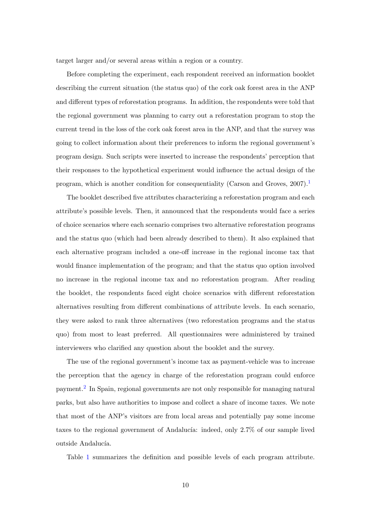target larger and/or several areas within a region or a country.

Before completing the experiment, each respondent received an information booklet describing the current situation (the status quo) of the cork oak forest area in the ANP and different types of reforestation programs. In addition, the respondents were told that the regional government was planning to carry out a reforestation program to stop the current trend in the loss of the cork oak forest area in the ANP, and that the survey was going to collect information about their preferences to inform the regional government's program design. Such scripts were inserted to increase the respondents' perception that their responses to the hypothetical experiment would influence the actual design of the program, which is another condition for consequentiality (Carson and Groves,  $2007$ ).<sup>[1](#page-34-0)</sup>

<span id="page-10-0"></span>The booklet described five attributes characterizing a reforestation program and each attribute's possible levels. Then, it announced that the respondents would face a series of choice scenarios where each scenario comprises two alternative reforestation programs and the status quo (which had been already described to them). It also explained that each alternative program included a one-off increase in the regional income tax that would finance implementation of the program; and that the status quo option involved no increase in the regional income tax and no reforestation program. After reading the booklet, the respondents faced eight choice scenarios with different reforestation alternatives resulting from different combinations of attribute levels. In each scenario, they were asked to rank three alternatives (two reforestation programs and the status quo) from most to least preferred. All questionnaires were administered by trained interviewers who clarified any question about the booklet and the survey.

<span id="page-10-1"></span>The use of the regional government's income tax as payment-vehicle was to increase the perception that the agency in charge of the reforestation program could enforce payment.<sup>[2](#page-34-1)</sup> In Spain, regional governments are not only responsible for managing natural parks, but also have authorities to impose and collect a share of income taxes. We note that most of the ANP's visitors are from local areas and potentially pay some income taxes to the regional government of Andalucía: indeed, only 2.7% of our sample lived outside Andalucía.

Table [1](#page-52-0) summarizes the definition and possible levels of each program attribute.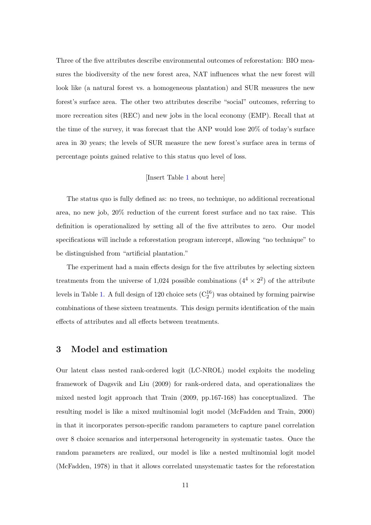Three of the five attributes describe environmental outcomes of reforestation: BIO measures the biodiversity of the new forest area, NAT influences what the new forest will look like (a natural forest vs. a homogeneous plantation) and SUR measures the new forest's surface area. The other two attributes describe "social" outcomes, referring to more recreation sites (REC) and new jobs in the local economy (EMP). Recall that at the time of the survey, it was forecast that the ANP would lose 20% of today's surface area in 30 years; the levels of SUR measure the new forest's surface area in terms of percentage points gained relative to this status quo level of loss.

### [Insert Table [1](#page-52-0) about here]

The status quo is fully defined as: no trees, no technique, no additional recreational area, no new job, 20% reduction of the current forest surface and no tax raise. This definition is operationalized by setting all of the five attributes to zero. Our model specifications will include a reforestation program intercept, allowing "no technique" to be distinguished from "artificial plantation."

The experiment had a main effects design for the five attributes by selecting sixteen treatments from the universe of 1,024 possible combinations  $(4^4 \times 2^2)$  of the attribute levels in Table [1.](#page-52-0) A full design of 120 choice sets  $(C_2^{16})$  was obtained by forming pairwise combinations of these sixteen treatments. This design permits identification of the main effects of attributes and all effects between treatments.

### 3 Model and estimation

Our latent class nested rank-ordered logit (LC-NROL) model exploits the modeling framework of Dagsvik and Liu (2009) for rank-ordered data, and operationalizes the mixed nested logit approach that Train (2009, pp.167-168) has conceptualized. The resulting model is like a mixed multinomial logit model (McFadden and Train, 2000) in that it incorporates person-specific random parameters to capture panel correlation over 8 choice scenarios and interpersonal heterogeneity in systematic tastes. Once the random parameters are realized, our model is like a nested multinomial logit model (McFadden, 1978) in that it allows correlated unsystematic tastes for the reforestation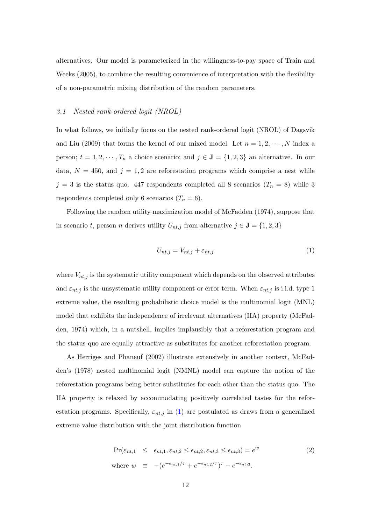alternatives. Our model is parameterized in the willingness-to-pay space of Train and Weeks (2005), to combine the resulting convenience of interpretation with the flexibility of a non-parametric mixing distribution of the random parameters.

#### 3.1 Nested rank-ordered logit (NROL)

In what follows, we initially focus on the nested rank-ordered logit (NROL) of Dagsvik and Liu (2009) that forms the kernel of our mixed model. Let  $n = 1, 2, \dots, N$  index a person;  $t = 1, 2, \dots, T_n$  a choice scenario; and  $j \in J = \{1, 2, 3\}$  an alternative. In our data,  $N = 450$ , and  $j = 1, 2$  are reforestation programs which comprise a nest while  $j = 3$  is the status quo. 447 respondents completed all 8 scenarios  $(T_n = 8)$  while 3 respondents completed only 6 scenarios  $(T_n = 6)$ .

Following the random utility maximization model of McFadden (1974), suppose that in scenario t, person n derives utility  $U_{nt,j}$  from alternative  $j \in \mathbf{J} = \{1,2,3\}$ 

<span id="page-12-0"></span>
$$
U_{nt,j} = V_{nt,j} + \varepsilon_{nt,j} \tag{1}
$$

where  $V_{nt,j}$  is the systematic utility component which depends on the observed attributes and  $\varepsilon_{nt,j}$  is the unsystematic utility component or error term. When  $\varepsilon_{nt,j}$  is i.i.d. type 1 extreme value, the resulting probabilistic choice model is the multinomial logit (MNL) model that exhibits the independence of irrelevant alternatives (IIA) property (McFadden, 1974) which, in a nutshell, implies implausibly that a reforestation program and the status quo are equally attractive as substitutes for another reforestation program.

As Herriges and Phaneuf (2002) illustrate extensively in another context, McFadden's (1978) nested multinomial logit (NMNL) model can capture the notion of the reforestation programs being better substitutes for each other than the status quo. The IIA property is relaxed by accommodating positively correlated tastes for the reforestation programs. Specifically,  $\varepsilon_{nt,j}$  in [\(1\)](#page-12-0) are postulated as draws from a generalized extreme value distribution with the joint distribution function

<span id="page-12-1"></span>
$$
\Pr(\varepsilon_{nt,1} \le \epsilon_{nt,1}, \varepsilon_{nt,2} \le \epsilon_{nt,2}, \varepsilon_{nt,3} \le \epsilon_{nt,3}) = e^w
$$
\n
$$
\text{where } w \equiv -(e^{-\epsilon_{nt,1}/\tau} + e^{-\epsilon_{nt,2}/\tau})^{\tau} - e^{-\epsilon_{nt,3}}.
$$
\n
$$
(2)
$$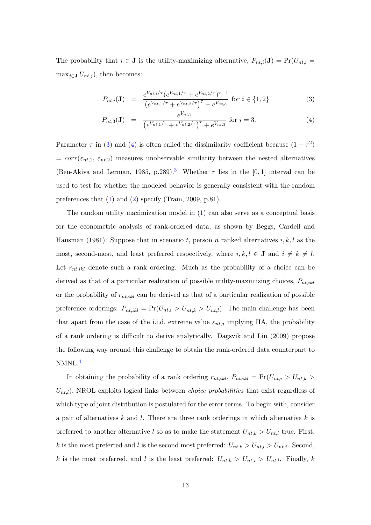The probability that  $i \in \mathbf{J}$  is the utility-maximizing alternative,  $P_{nt,i}(\mathbf{J}) = \Pr(U_{nt,i} =$ max $_{j\in\mathbf{J}} U_{nt,j}$ , then becomes:

<span id="page-13-0"></span>
$$
P_{nt,i}(\mathbf{J}) = \frac{e^{V_{nt,i}/\tau} (e^{V_{nt,1}/\tau} + e^{V_{nt,2}/\tau})^{\tau-1}}{(e^{V_{nt,1}/\tau} + e^{V_{nt,2}/\tau})^{\tau} + e^{V_{nt,3}}}
$$
 for  $i \in \{1, 2\}$  (3)

<span id="page-13-1"></span>
$$
P_{nt,3}(\mathbf{J}) = \frac{e^{V_{nt,3}}}{\left(e^{V_{nt,1}/\tau} + e^{V_{nt,2}/\tau}\right)^{\tau} + e^{V_{nt,3}}} \text{ for } i = 3.
$$
 (4)

Parameter  $\tau$  in [\(3\)](#page-13-0) and [\(4\)](#page-13-0) is often called the dissimilarity coefficient because  $(1 - \tau^2)$ =  $corr(\epsilon_{nt,1}, \epsilon_{nt,2})$  measures unobservable similarity between the nested alternatives (Ben-Akiva and Lerman, 1985, p.289).<sup>[3](#page-34-2)</sup> Whether  $\tau$  lies in the [0,1] interval can be used to test for whether the modeled behavior is generally consistent with the random preferences that  $(1)$  and  $(2)$  specify (Train, 2009, p.81).

The random utility maximization model in [\(1\)](#page-12-0) can also serve as a conceptual basis for the econometric analysis of rank-ordered data, as shown by Beggs, Cardell and Hausman (1981). Suppose that in scenario t, person n ranked alternatives  $i, k, l$  as the most, second-most, and least preferred respectively, where  $i, k, l \in J$  and  $i \neq k \neq l$ . Let  $r_{nt,ikl}$  denote such a rank ordering. Much as the probability of a choice can be derived as that of a particular realization of possible utility-maximizing choices,  $P_{nt,ikl}$ or the probability of  $r_{nt,ikl}$  can be derived as that of a particular realization of possible preference orderings:  $P_{nt,ikl} = Pr(U_{nt,i} > U_{nt,k} > U_{nt,l})$ . The main challenge has been that apart from the case of the i.i.d. extreme value  $\varepsilon_{nt,j}$  implying IIA, the probability of a rank ordering is difficult to derive analytically. Dagsvik and Liu (2009) propose the following way around this challenge to obtain the rank-ordered data counterpart to NMNL.[4](#page-34-3)

<span id="page-13-2"></span>In obtaining the probability of a rank ordering  $r_{nt,ikl}$ ,  $P_{nt,ikl} = Pr(U_{nt,i} > U_{nt,k} >$  $U_{nt,l}$ ), NROL exploits logical links between *choice probabilities* that exist regardless of which type of joint distribution is postulated for the error terms. To begin with, consider a pair of alternatives  $k$  and  $l$ . There are three rank orderings in which alternative  $k$  is preferred to another alternative l so as to make the statement  $U_{nt,k} > U_{nt,l}$  true. First, k is the most preferred and l is the second most preferred:  $U_{nt,k} > U_{nt,l} > U_{nt,i}$ . Second, k is the most preferred, and l is the least preferred:  $U_{nt,k} > U_{nt,i} > U_{nt,l}$ . Finally, k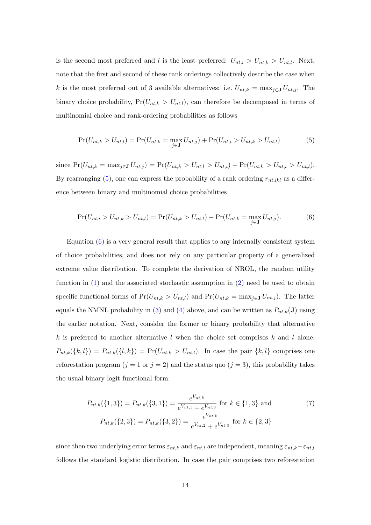is the second most preferred and l is the least preferred:  $U_{nt,i} > U_{nt,k} > U_{nt,l}$ . Next, note that the first and second of these rank orderings collectively describe the case when k is the most preferred out of 3 available alternatives: i.e.  $U_{nt,k} = \max_{j \in \mathbf{J}} U_{nt,j}$ . The binary choice probability,  $Pr(U_{nt,k} > U_{nt,l})$ , can therefore be decomposed in terms of multinomial choice and rank-ordering probabilities as follows

<span id="page-14-0"></span>
$$
Pr(U_{nt,k} > U_{nt,l}) = Pr(U_{nt,k} = \max_{j \in \mathbf{J}} U_{nt,j}) + Pr(U_{nt,i} > U_{nt,k} > U_{nt,l})
$$
\n(5)

since  $Pr(U_{nt,k} = \max_{j \in \mathbf{J}} U_{nt,j}) = Pr(U_{nt,k} > U_{nt,l} > U_{nt,i}) + Pr(U_{nt,k} > U_{nt,i} > U_{nt,l}).$ By rearranging [\(5\)](#page-14-0), one can express the probability of a rank ordering  $r_{nt,ikl}$  as a difference between binary and multinomial choice probabilities

<span id="page-14-1"></span>
$$
\Pr(U_{nt,i} > U_{nt,k} > U_{nt,l}) = \Pr(U_{nt,k} > U_{nt,l}) - \Pr(U_{nt,k} = \max_{j \in \mathbf{J}} U_{nt,j}).
$$
\n(6)

Equation  $(6)$  is a very general result that applies to any internally consistent system of choice probabilities, and does not rely on any particular property of a generalized extreme value distribution. To complete the derivation of NROL, the random utility function in  $(1)$  and the associated stochastic assumption in  $(2)$  need be used to obtain specific functional forms of  $Pr(U_{nt,k} > U_{nt,l})$  and  $Pr(U_{nt,k} = \max_{j \in \mathbf{J}} U_{nt,j})$ . The latter equals the NMNL probability in [\(3\)](#page-13-0) and [\(4\)](#page-13-0) above, and can be written as  $P_{nt,k}(\mathbf{J})$  using the earlier notation. Next, consider the former or binary probability that alternative k is preferred to another alternative l when the choice set comprises k and l alone:  $P_{nt,k}(\{k, l\}) = P_{nt,k}(\{l, k\}) = \Pr(U_{nt,k} > U_{nt,l})$ . In case the pair  $\{k, l\}$  comprises one reforestation program  $(j = 1 \text{ or } j = 2)$  and the status quo  $(j = 3)$ , this probability takes the usual binary logit functional form:

<span id="page-14-2"></span>
$$
P_{nt,k}(\{1,3\}) = P_{nt,k}(\{3,1\}) = \frac{e^{V_{nt,k}}}{e^{V_{nt,1}} + e^{V_{nt,3}}} \text{ for } k \in \{1,3\} \text{ and } (7)
$$

$$
P_{nt,k}(\{2,3\}) = P_{nt,k}(\{3,2\}) = \frac{e^{V_{nt,k}}}{e^{V_{nt,2}} + e^{V_{nt,3}}} \text{ for } k \in \{2,3\}
$$

since then two underlying error terms  $\varepsilon_{nt,k}$  and  $\varepsilon_{nt,l}$  are independent, meaning  $\varepsilon_{nt,k}-\varepsilon_{nt,l}$ follows the standard logistic distribution. In case the pair comprises two reforestation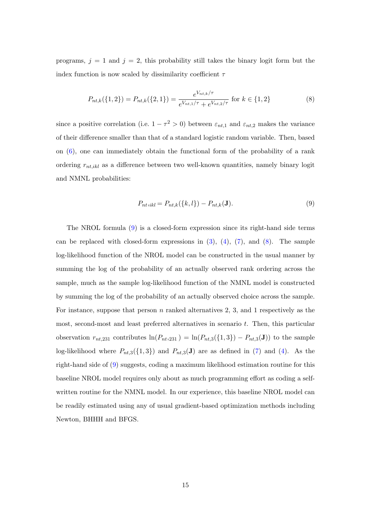programs,  $j = 1$  and  $j = 2$ , this probability still takes the binary logit form but the index function is now scaled by dissimilarity coefficient  $\tau$ 

<span id="page-15-1"></span>
$$
P_{nt,k}(\{1,2\}) = P_{nt,k}(\{2,1\}) = \frac{e^{V_{nt,k}/\tau}}{e^{V_{nt,1}/\tau} + e^{V_{nt,2}/\tau}} \text{ for } k \in \{1,2\}
$$
 (8)

since a positive correlation (i.e.  $1 - \tau^2 > 0$ ) between  $\varepsilon_{nt,1}$  and  $\varepsilon_{nt,2}$  makes the variance of their difference smaller than that of a standard logistic random variable. Then, based on [\(6\)](#page-14-1), one can immediately obtain the functional form of the probability of a rank ordering  $r_{nt,ikl}$  as a difference between two well-known quantities, namely binary logit and NMNL probabilities:

<span id="page-15-0"></span>
$$
P_{nt,ikl} = P_{nt,k}(\{k,l\}) - P_{nt,k}(\mathbf{J}).
$$
\n(9)

The NROL formula [\(9\)](#page-15-0) is a closed-form expression since its right-hand side terms can be replaced with closed-form expressions in  $(3)$ ,  $(4)$ ,  $(7)$ , and  $(8)$ . The sample log-likelihood function of the NROL model can be constructed in the usual manner by summing the log of the probability of an actually observed rank ordering across the sample, much as the sample log-likelihood function of the NMNL model is constructed by summing the log of the probability of an actually observed choice across the sample. For instance, suppose that person  $n$  ranked alternatives 2, 3, and 1 respectively as the most, second-most and least preferred alternatives in scenario  $t$ . Then, this particular observation  $r_{nt,231}$  contributes  $\ln(P_{nt,231}) = \ln(P_{nt,3}(\{1,3\}) - P_{nt,3}(J))$  to the sample log-likelihood where  $P_{nt,3}(\{1,3\})$  and  $P_{nt,3}(J)$  are as defined in [\(7\)](#page-14-2) and [\(4\)](#page-13-0). As the right-hand side of [\(9\)](#page-15-0) suggests, coding a maximum likelihood estimation routine for this baseline NROL model requires only about as much programming effort as coding a selfwritten routine for the NMNL model. In our experience, this baseline NROL model can be readily estimated using any of usual gradient-based optimization methods including Newton, BHHH and BFGS.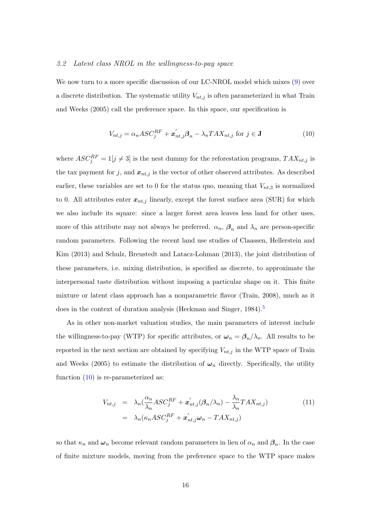#### 3.2 Latent class NROL in the willingness-to-pay space

We now turn to a more specific discussion of our LC-NROL model which mixes  $(9)$  over a discrete distribution. The systematic utility  $V_{nt,j}$  is often parameterized in what Train and Weeks (2005) call the preference space. In this space, our specification is

<span id="page-16-0"></span>
$$
V_{nt,j} = \alpha_n ASC_j^{RF} + \mathbf{x}'_{nt,j}\boldsymbol{\beta}_n - \lambda_n TAX_{nt,j} \text{ for } j \in \mathbf{J}
$$
 (10)

where  $ASC^{RF}_{j} = 1[j \neq 3]$  is the nest dummy for the reforestation programs,  $TAX_{nt,j}$  is the tax payment for j, and  $x_{nt,j}$  is the vector of other observed attributes. As described earlier, these variables are set to 0 for the status quo, meaning that  $V_{nt,3}$  is normalized to 0. All attributes enter  $x_{nt,j}$  linearly, except the forest surface area (SUR) for which we also include its square: since a larger forest area leaves less land for other uses, more of this attribute may not always be preferred.  $\alpha_n$ ,  $\beta_n$  and  $\lambda_n$  are person-specific random parameters. Following the recent land use studies of Claassen, Hellerstein and Kim (2013) and Schulz, Breustedt and Latacz-Lohman (2013), the joint distribution of these parameters, i.e. mixing distribution, is specified as discrete, to approximate the interpersonal taste distribution without imposing a particular shape on it. This finite mixture or latent class approach has a nonparametric flavor (Train, 2008), much as it does in the context of duration analysis (Heckman and Singer, 1984).<sup>[5](#page-34-4)</sup>

As in other non-market valuation studies, the main parameters of interest include the willingness-to-pay (WTP) for specific attributes, or  $\omega_n = \beta_n / \lambda_n$ . All results to be reported in the next section are obtained by specifying  $V_{nt,j}$  in the WTP space of Train and Weeks (2005) to estimate the distribution of  $\omega_n$  directly. Specifically, the utility function  $(10)$  is re-parameterized as:

<span id="page-16-2"></span><span id="page-16-1"></span>
$$
V_{nt,j} = \lambda_n \left( \frac{\alpha_n}{\lambda_n} ASC_j^{RF} + \boldsymbol{x}'_{nt,j} (\boldsymbol{\beta}_n / \lambda_n) - \frac{\lambda_n}{\lambda_n} TAX_{nt,j} \right)
$$
  

$$
= \lambda_n (\kappa_n ASC_j^{RF} + \boldsymbol{x}'_{nt,j} \boldsymbol{\omega}_n - TAX_{nt,j})
$$
 (11)

so that  $\kappa_n$  and  $\omega_n$  become relevant random parameters in lieu of  $\alpha_n$  and  $\beta_n$ . In the case of finite mixture models, moving from the preference space to the WTP space makes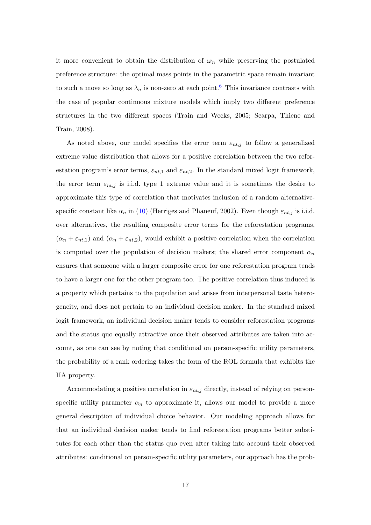<span id="page-17-0"></span>it more convenient to obtain the distribution of  $\omega_n$  while preserving the postulated preference structure: the optimal mass points in the parametric space remain invariant to such a move so long as  $\lambda_n$  is non-zero at each point.<sup>[6](#page-35-0)</sup> This invariance contrasts with the case of popular continuous mixture models which imply two different preference structures in the two different spaces (Train and Weeks, 2005; Scarpa, Thiene and Train, 2008).

As noted above, our model specifies the error term  $\varepsilon_{nt,j}$  to follow a generalized extreme value distribution that allows for a positive correlation between the two reforestation program's error terms,  $\varepsilon_{nt,1}$  and  $\varepsilon_{nt,2}$ . In the standard mixed logit framework, the error term  $\varepsilon_{nt,j}$  is i.i.d. type 1 extreme value and it is sometimes the desire to approximate this type of correlation that motivates inclusion of a random alternativespecific constant like  $\alpha_n$  in [\(10\)](#page-16-0) (Herriges and Phaneuf, 2002). Even though  $\varepsilon_{nt,j}$  is i.i.d. over alternatives, the resulting composite error terms for the reforestation programs,  $(\alpha_n + \varepsilon_{nt,1})$  and  $(\alpha_n + \varepsilon_{nt,2})$ , would exhibit a positive correlation when the correlation is computed over the population of decision makers; the shared error component  $\alpha_n$ ensures that someone with a larger composite error for one reforestation program tends to have a larger one for the other program too. The positive correlation thus induced is a property which pertains to the population and arises from interpersonal taste heterogeneity, and does not pertain to an individual decision maker. In the standard mixed logit framework, an individual decision maker tends to consider reforestation programs and the status quo equally attractive once their observed attributes are taken into account, as one can see by noting that conditional on person-specific utility parameters, the probability of a rank ordering takes the form of the ROL formula that exhibits the IIA property.

Accommodating a positive correlation in  $\varepsilon_{nt,j}$  directly, instead of relying on personspecific utility parameter  $\alpha_n$  to approximate it, allows our model to provide a more general description of individual choice behavior. Our modeling approach allows for that an individual decision maker tends to find reforestation programs better substitutes for each other than the status quo even after taking into account their observed attributes: conditional on person-specific utility parameters, our approach has the prob-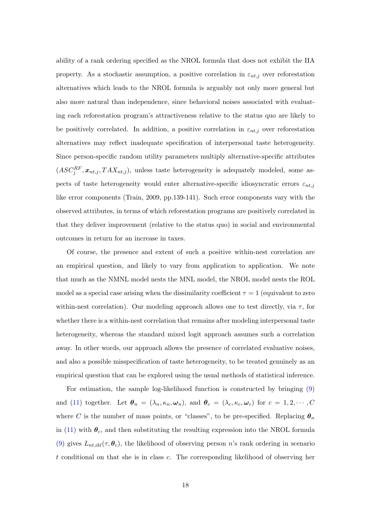ability of a rank ordering specified as the NROL formula that does not exhibit the IIA property. As a stochastic assumption, a positive correlation in  $\varepsilon_{nt,j}$  over reforestation alternatives which leads to the NROL formula is arguably not only more general but also more natural than independence, since behavioral noises associated with evaluating each reforestation program's attractiveness relative to the status quo are likely to be positively correlated. In addition, a positive correlation in  $\varepsilon_{nt,j}$  over reforestation alternatives may reflect inadequate specification of interpersonal taste heterogeneity. Since person-specific random utility parameters multiply alternative-specific attributes  $(ASC<sub>j</sub><sup>RF</sup>, x<sub>nt,j</sub>, TAX<sub>nt,j</sub>)$ , unless taste heterogeneity is adequately modeled, some aspects of taste heterogeneity would enter alternative-specific idiosyncratic errors  $\varepsilon_{nt,j}$ like error components (Train, 2009, pp.139-141). Such error components vary with the observed attributes, in terms of which reforestation programs are positively correlated in that they deliver improvement (relative to the status quo) in social and environmental outcomes in return for an increase in taxes.

Of course, the presence and extent of such a positive within-nest correlation are an empirical question, and likely to vary from application to application. We note that much as the NMNL model nests the MNL model, the NROL model nests the ROL model as a special case arising when the dissimilarity coefficient  $\tau = 1$  (equivalent to zero within-nest correlation). Our modeling approach allows one to test directly, via  $\tau$ , for whether there is a within-nest correlation that remains after modeling interpersonal taste heterogeneity, whereas the standard mixed logit approach assumes such a correlation away. In other words, our approach allows the presence of correlated evaluative noises, and also a possible misspecification of taste heterogeneity, to be treated genuinely as an empirical question that can be explored using the usual methods of statistical inference.

For estimation, the sample log-likelihood function is constructed by bringing [\(9\)](#page-15-0) and [\(11\)](#page-16-1) together. Let  $\theta_n = (\lambda_n, \kappa_n, \omega_n)$ , and  $\theta_c = (\lambda_c, \kappa_c, \omega_c)$  for  $c = 1, 2, \dots, C$ where C is the number of mass points, or "classes", to be pre-specified. Replacing  $\theta_n$ in [\(11\)](#page-16-1) with  $\theta_c$ , and then substituting the resulting expression into the NROL formula [\(9\)](#page-15-0) gives  $L_{nt,ikl}(\tau, \theta_c)$ , the likelihood of observing person n's rank ordering in scenario t conditional on that she is in class c. The corresponding likelihood of observing her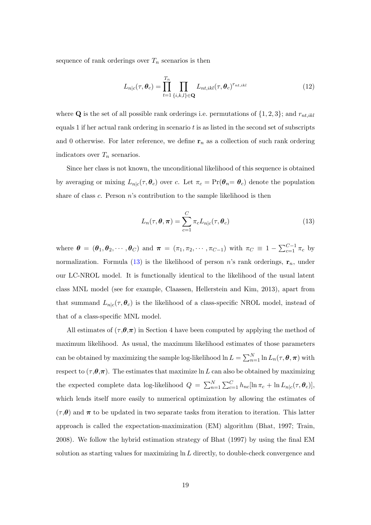sequence of rank orderings over  $T_n$  scenarios is then

<span id="page-19-1"></span>
$$
L_{n|c}(\tau, \boldsymbol{\theta}_c) = \prod_{t=1}^{T_n} \prod_{\{i,k,l\} \in \mathbf{Q}} L_{nt,ikl}(\tau, \boldsymbol{\theta}_c)^{r_{nt,ikl}}
$$
(12)

where **Q** is the set of all possible rank orderings i.e. permutations of  $\{1, 2, 3\}$ ; and  $r_{nt,ikl}$ equals 1 if her actual rank ordering in scenario  $t$  is as listed in the second set of subscripts and 0 otherwise. For later reference, we define  $r_n$  as a collection of such rank ordering indicators over  $T_n$  scenarios.

Since her class is not known, the unconditional likelihood of this sequence is obtained by averaging or mixing  $L_{n|c}(\tau,\theta_c)$  over c. Let  $\pi_c = \Pr(\theta_n = \theta_c)$  denote the population share of class c. Person  $n$ 's contribution to the sample likelihood is then

<span id="page-19-0"></span>
$$
L_n(\tau, \boldsymbol{\theta}, \boldsymbol{\pi}) = \sum_{c=1}^{C} \pi_c L_{n|c}(\tau, \boldsymbol{\theta}_c)
$$
\n(13)

where  $\boldsymbol{\theta} = (\boldsymbol{\theta}_1, \boldsymbol{\theta}_2, \cdots, \boldsymbol{\theta}_C)$  and  $\boldsymbol{\pi} = (\pi_1, \pi_2, \cdots, \pi_{C-1})$  with  $\pi_C \equiv 1 - \sum_{c=1}^{C-1} \pi_c$  by normalization. Formula [\(13\)](#page-19-0) is the likelihood of person n's rank orderings,  $r_n$ , under our LC-NROL model. It is functionally identical to the likelihood of the usual latent class MNL model (see for example, Claassen, Hellerstein and Kim, 2013), apart from that summand  $L_{n|c}(\tau, \theta_c)$  is the likelihood of a class-specific NROL model, instead of that of a class-specific MNL model.

All estimates of  $(\tau, \theta, \pi)$  in Section 4 have been computed by applying the method of maximum likelihood. As usual, the maximum likelihood estimates of those parameters can be obtained by maximizing the sample log-likelihood ln  $L = \sum_{n=1}^{N} \ln L_n(\tau, \theta, \pi)$  with respect to  $(\tau, \theta, \pi)$ . The estimates that maximize ln L can also be obtained by maximizing the expected complete data log-likelihood  $Q = \sum_{n=1}^{N} \sum_{c=1}^{C} h_{nc} [\ln \pi_c + \ln L_{n|c}(\tau, \theta_c)],$ which lends itself more easily to numerical optimization by allowing the estimates of  $(\tau, \theta)$  and  $\pi$  to be updated in two separate tasks from iteration to iteration. This latter approach is called the expectation-maximization (EM) algorithm (Bhat, 1997; Train, 2008). We follow the hybrid estimation strategy of Bhat (1997) by using the final EM solution as starting values for maximizing  $\ln L$  directly, to double-check convergence and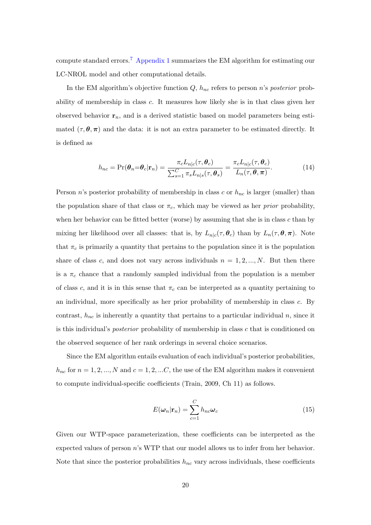<span id="page-20-2"></span>compute standard errors.[7](#page-36-0) [Appendix 1](#page-37-0) summarizes the EM algorithm for estimating our LC-NROL model and other computational details.

In the EM algorithm's objective function  $Q$ ,  $h_{nc}$  refers to person n's posterior probability of membership in class c. It measures how likely she is in that class given her observed behavior  $r_n$ , and is a derived statistic based on model parameters being estimated  $(\tau, \theta, \pi)$  and the data: it is not an extra parameter to be estimated directly. It is defined as

<span id="page-20-0"></span>
$$
h_{nc} = \Pr(\boldsymbol{\theta}_n = \boldsymbol{\theta}_c | \mathbf{r}_n) = \frac{\pi_c L_{n|c}(\tau, \boldsymbol{\theta}_c)}{\sum_{s=1}^C \pi_s L_{n|s}(\tau, \boldsymbol{\theta}_s)} = \frac{\pi_c L_{n|c}(\tau, \boldsymbol{\theta}_c)}{L_n(\tau, \boldsymbol{\theta}, \boldsymbol{\pi})}.
$$
(14)

Person n's posterior probability of membership in class c or  $h_{nc}$  is larger (smaller) than the population share of that class or  $\pi_c$ , which may be viewed as her *prior* probability, when her behavior can be fitted better (worse) by assuming that she is in class c than by mixing her likelihood over all classes: that is, by  $L_{n|c}(\tau, \theta_c)$  than by  $L_n(\tau, \theta, \pi)$ . Note that  $\pi_c$  is primarily a quantity that pertains to the population since it is the population share of class c, and does not vary across individuals  $n = 1, 2, ..., N$ . But then there is a  $\pi_c$  chance that a randomly sampled individual from the population is a member of class c, and it is in this sense that  $\pi_c$  can be interpreted as a quantity pertaining to an individual, more specifically as her prior probability of membership in class c. By contrast,  $h_{nc}$  is inherently a quantity that pertains to a particular individual n, since it is this individual's *posterior* probability of membership in class  $c$  that is conditioned on the observed sequence of her rank orderings in several choice scenarios.

Since the EM algorithm entails evaluation of each individual's posterior probabilities,  $h_{nc}$  for  $n = 1, 2, ..., N$  and  $c = 1, 2, ...C$ , the use of the EM algorithm makes it convenient to compute individual-specific coefficients (Train, 2009, Ch 11) as follows.

<span id="page-20-1"></span>
$$
E(\boldsymbol{\omega}_n|\mathbf{r}_n) = \sum_{c=1}^{C} h_{nc}\boldsymbol{\omega}_c
$$
\n(15)

Given our WTP-space parameterization, these coefficients can be interpreted as the expected values of person n's WTP that our model allows us to infer from her behavior. Note that since the posterior probabilities  $h_{nc}$  vary across individuals, these coefficients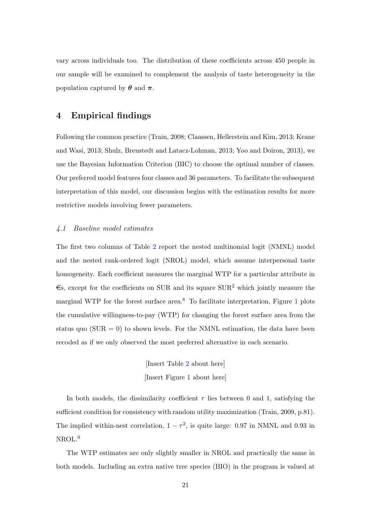vary across individuals too. The distribution of these coefficients across 450 people in our sample will be examined to complement the analysis of taste heterogeneity in the population captured by  $\theta$  and  $\pi$ .

### 4 Empirical findings

Following the common practice (Train, 2008; Claassen, Hellerstein and Kim, 2013; Keane and Wasi, 2013; Shulz, Breustedt and Latacz-Lohman, 2013; Yoo and Doiron, 2013), we use the Bayesian Information Criterion (BIC) to choose the optimal number of classes. Our preferred model features four classes and 36 parameters. To facilitate the subsequent interpretation of this model, our discussion begins with the estimation results for more restrictive models involving fewer parameters.

#### 4.1 Baseline model estimates

The first two columns of Table [2](#page-53-0) report the nested multinomial logit (NMNL) model and the nested rank-ordered logit (NROL) model, which assume interpersonal taste homogeneity. Each coefficient measures the marginal WTP for a particular attribute in  $\epsilon$ s, except for the coefficients on SUR and its square SUR<sup>2</sup> which jointly measure the marginal WTP for the forest surface area.<sup>[8](#page-36-1)</sup> To facilitate interpretation, Figure [1](#page-50-0) plots the cumulative willingness-to-pay (WTP) for changing the forest surface area from the status quo  $(SUR = 0)$  to shown levels. For the NMNL estimation, the data have been recoded as if we only observed the most preferred alternative in each scenario.

> <span id="page-21-0"></span>[Insert Table [2](#page-53-0) about here] [Insert Figure [1](#page-50-0) about here]

In both models, the dissimilarity coefficient  $\tau$  lies between 0 and 1, satisfying the sufficient condition for consistency with random utility maximization (Train, 2009, p.81). The implied within-nest correlation,  $1 - \tau^2$ , is quite large: 0.97 in NMNL and 0.93 in NROL.<sup>[9](#page-36-2)</sup>

<span id="page-21-1"></span>The WTP estimates are only slightly smaller in NROL and practically the same in both models. Including an extra native tree species (BIO) in the program is valued at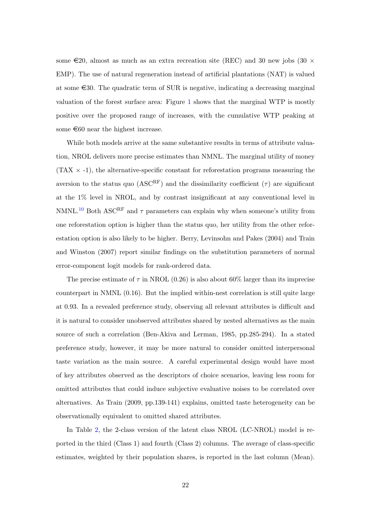some  $\in 20$ , almost as much as an extra recreation site (REC) and 30 new jobs (30  $\times$ EMP). The use of natural regeneration instead of artificial plantations (NAT) is valued at some  $\epsilon$ 30. The quadratic term of SUR is negative, indicating a decreasing marginal valuation of the forest surface area: Figure [1](#page-50-0) shows that the marginal WTP is mostly positive over the proposed range of increases, with the cumulative WTP peaking at some  $\epsilon$ 60 near the highest increase.

<span id="page-22-0"></span>While both models arrive at the same substantive results in terms of attribute valuation, NROL delivers more precise estimates than NMNL. The marginal utility of money  $(TAX \times -1)$ , the alternative-specific constant for reforestation programs measuring the aversion to the status quo (ASCRF) and the dissimilarity coefficient ( $\tau$ ) are significant at the 1% level in NROL, and by contrast insignificant at any conventional level in NMNL.<sup>[10](#page-36-3)</sup> Both ASC<sup>RF</sup> and  $\tau$  parameters can explain why when someone's utility from one reforestation option is higher than the status quo, her utility from the other reforestation option is also likely to be higher. Berry, Levinsohn and Pakes (2004) and Train and Winston (2007) report similar findings on the substitution parameters of normal error-component logit models for rank-ordered data.

The precise estimate of  $\tau$  in NROL (0.26) is also about 60% larger than its imprecise counterpart in NMNL (0.16). But the implied within-nest correlation is still quite large at 0.93. In a revealed preference study, observing all relevant attributes is difficult and it is natural to consider unobserved attributes shared by nested alternatives as the main source of such a correlation (Ben-Akiva and Lerman, 1985, pp.285-294). In a stated preference study, however, it may be more natural to consider omitted interpersonal taste variation as the main source. A careful experimental design would have most of key attributes observed as the descriptors of choice scenarios, leaving less room for omitted attributes that could induce subjective evaluative noises to be correlated over alternatives. As Train (2009, pp.139-141) explains, omitted taste heterogeneity can be observationally equivalent to omitted shared attributes.

In Table [2,](#page-53-0) the 2-class version of the latent class NROL (LC-NROL) model is reported in the third (Class 1) and fourth (Class 2) columns. The average of class-specific estimates, weighted by their population shares, is reported in the last column (Mean).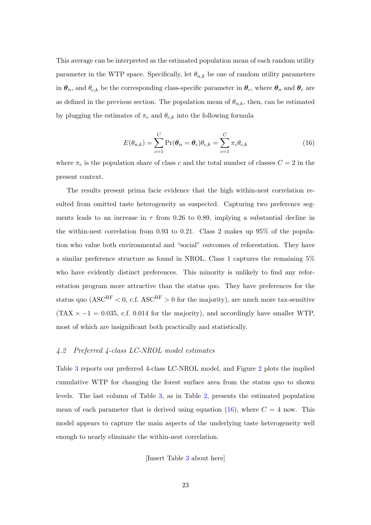This average can be interpreted as the estimated population mean of each random utility parameter in the WTP space. Specifically, let  $\theta_{n,k}$  be one of random utility parameters in  $\theta_n$ , and  $\theta_{c,k}$  be the corresponding class-specific parameter in  $\theta_c$ , where  $\theta_n$  and  $\theta_c$  are as defined in the previous section. The population mean of  $\theta_{n,k}$ , then, can be estimated by plugging the estimates of  $\pi_c$  and  $\theta_{c,k}$  into the following formula

<span id="page-23-0"></span>
$$
E(\theta_{n,k}) = \sum_{c=1}^{C} \Pr(\theta_n = \theta_c) \theta_{c,k} = \sum_{c=1}^{C} \pi_c \theta_{c,k}
$$
(16)

where  $\pi_c$  is the population share of class c and the total number of classes  $C = 2$  in the present context.

The results present prima facie evidence that the high within-nest correlation resulted from omitted taste heterogeneity as suspected. Capturing two preference segments leads to an increase in  $\tau$  from 0.26 to 0.89, implying a substantial decline in the within-nest correlation from 0.93 to 0.21. Class 2 makes up 95% of the population who value both environmental and "social" outcomes of reforestation. They have a similar preference structure as found in NROL. Class 1 captures the remaining 5% who have evidently distinct preferences. This minority is unlikely to find any reforestation program more attractive than the status quo. They have preferences for the status quo ( $\text{ASC}^{\text{RF}}$  < 0, c.f.  $\text{ASC}^{\text{RF}}$  > 0 for the majority), are much more tax-sensitive  $(TAX \times -1 = 0.035, c.f. 0.014$  for the majority), and accordingly have smaller WTP, most of which are insignificant both practically and statistically.

#### 4.2 Preferred 4-class LC-NROL model estimates

Table [3](#page-54-0) reports our preferred 4-class LC-NROL model, and Figure [2](#page-51-0) plots the implied cumulative WTP for changing the forest surface area from the status quo to shown levels. The last column of Table [3,](#page-54-0) as in Table [2,](#page-53-0) presents the estimated population mean of each parameter that is derived using equation  $(16)$ , where  $C = 4$  now. This model appears to capture the main aspects of the underlying taste heterogeneity well enough to nearly eliminate the within-nest correlation.

[Insert Table [3](#page-54-0) about here]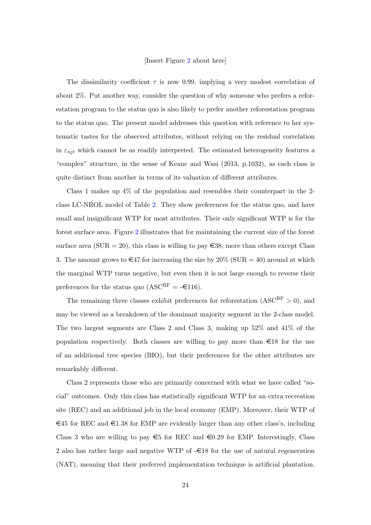#### [Insert Figure [2](#page-51-0) about here]

The dissimilarity coefficient  $\tau$  is now 0.99, implying a very modest correlation of about 2%. Put another way, consider the question of why someone who prefers a reforestation program to the status quo is also likely to prefer another reforestation program to the status quo. The present model addresses this question with reference to her systematic tastes for the observed attributes, without relying on the residual correlation in  $\varepsilon_{nik}$  which cannot be as readily interpreted. The estimated heterogeneity features a "complex" structure, in the sense of Keane and Wasi (2013, p.1032), as each class is quite distinct from another in terms of its valuation of different attributes.

Class 1 makes up 4% of the population and resembles their counterpart in the 2 class LC-NROL model of Table [2.](#page-53-0) They show preferences for the status quo, and have small and insignificant WTP for most attributes. Their only significant WTP is for the forest surface area. Figure [2](#page-51-0) illustrates that for maintaining the current size of the forest surface area (SUR = 20), this class is willing to pay  $\epsilon$ 38, more than others except Class 3. The amount grows to  $\epsilon$ 47 for increasing the size by 20% (SUR = 40) around at which the marginal WTP turns negative, but even then it is not large enough to reverse their preferences for the status quo  $(ASC<sup>RF</sup> = -E116)$ .

The remaining three classes exhibit preferences for reforestation  $(ASC<sup>RF</sup> > 0)$ , and may be viewed as a breakdown of the dominant majority segment in the 2-class model. The two largest segments are Class 2 and Class 3, making up 52% and 41% of the population respectively. Both classes are willing to pay more than  $\epsilon$ 18 for the use of an additional tree species (BIO), but their preferences for the other attributes are remarkably different.

Class 2 represents those who are primarily concerned with what we have called "social" outcomes. Only this class has statistically significant WTP for an extra recreation site (REC) and an additional job in the local economy (EMP). Moreover, their WTP of  $\epsilon$ 45 for REC and  $\epsilon$ 1.38 for EMP are evidently larger than any other class's, including Class 3 who are willing to pay  $\epsilon$ 5 for REC and  $\epsilon$ 0.29 for EMP. Interestingly, Class 2 also has rather large and negative WTP of  $-\epsilon 18$  for the use of natural regeneration (NAT), meaning that their preferred implementation technique is artificial plantation.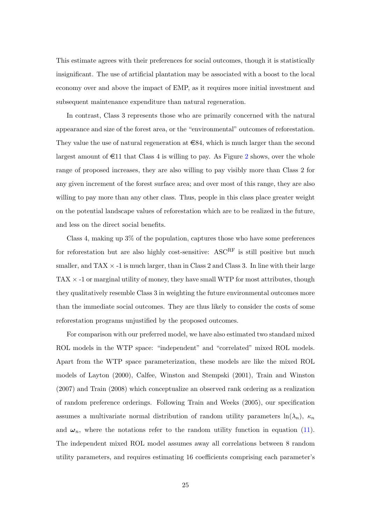This estimate agrees with their preferences for social outcomes, though it is statistically insignificant. The use of artificial plantation may be associated with a boost to the local economy over and above the impact of EMP, as it requires more initial investment and subsequent maintenance expenditure than natural regeneration.

In contrast, Class 3 represents those who are primarily concerned with the natural appearance and size of the forest area, or the "environmental" outcomes of reforestation. They value the use of natural regeneration at  $\epsilon \leq 84$ , which is much larger than the second largest amount of  $\epsilon$ 11 that Class 4 is willing to pay. As Figure [2](#page-51-0) shows, over the whole range of proposed increases, they are also willing to pay visibly more than Class 2 for any given increment of the forest surface area; and over most of this range, they are also willing to pay more than any other class. Thus, people in this class place greater weight on the potential landscape values of reforestation which are to be realized in the future, and less on the direct social benefits.

Class 4, making up 3% of the population, captures those who have some preferences for reforestation but are also highly cost-sensitive:  $\text{ASC}^{\text{RF}}$  is still positive but much smaller, and TAX  $\times$  -1 is much larger, than in Class 2 and Class 3. In line with their large  $TAX \times -1$  or marginal utility of money, they have small WTP for most attributes, though they qualitatively resemble Class 3 in weighting the future environmental outcomes more than the immediate social outcomes. They are thus likely to consider the costs of some reforestation programs unjustified by the proposed outcomes.

For comparison with our preferred model, we have also estimated two standard mixed ROL models in the WTP space: "independent" and "correlated" mixed ROL models. Apart from the WTP space parameterization, these models are like the mixed ROL models of Layton (2000), Calfee, Winston and Stempski (2001), Train and Winston (2007) and Train (2008) which conceptualize an observed rank ordering as a realization of random preference orderings. Following Train and Weeks (2005), our specification assumes a multivariate normal distribution of random utility parameters  $\ln(\lambda_n)$ ,  $\kappa_n$ and  $\omega_n$ , where the notations refer to the random utility function in equation [\(11\)](#page-16-1). The independent mixed ROL model assumes away all correlations between 8 random utility parameters, and requires estimating 16 coefficients comprising each parameter's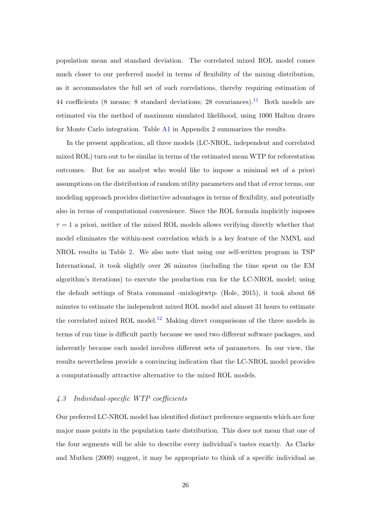<span id="page-26-0"></span>population mean and standard deviation. The correlated mixed ROL model comes much closer to our preferred model in terms of flexibility of the mixing distribution, as it accommodates the full set of such correlations, thereby requiring estimation of 44 coefficients (8 means; 8 standard deviations; 28 covariances).<sup>[11](#page-37-1)</sup> Both models are estimated via the method of maximum simulated likelihood, using 1000 Halton draws for Monte Carlo integration. Table [A1](#page-57-0) in Appendix 2 summarizes the results.

In the present application, all three models (LC-NROL, independent and correlated mixed ROL) turn out to be similar in terms of the estimated mean WTP for reforestation outcomes. But for an analyst who would like to impose a minimal set of a priori assumptions on the distribution of random utility parameters and that of error terms, our modeling approach provides distinctive advantages in terms of flexibility, and potentially also in terms of computational convenience. Since the ROL formula implicitly imposes  $\tau = 1$  a priori, neither of the mixed ROL models allows verifying directly whether that model eliminates the within-nest correlation which is a key feature of the NMNL and NROL results in Table [2.](#page-53-0) We also note that using our self-written program in TSP International, it took slightly over 26 minutes (including the time spent on the EM algorithm's iterations) to execute the production run for the LC-NROL model; using the default settings of Stata command -mixlogitwtp- (Hole, 2015), it took about 68 minutes to estimate the independent mixed ROL model and almost 31 hours to estimate the correlated mixed ROL model.<sup>[12](#page-37-2)</sup> Making direct comparisons of the three models in terms of run time is difficult partly because we used two different software packages, and inherently because each model involves different sets of parameters. In our view, the results nevertheless provide a convincing indication that the LC-NROL model provides a computationally attractive alternative to the mixed ROL models.

### <span id="page-26-1"></span>4.3 Individual-specific WTP coefficients

Our preferred LC-NROL model has identified distinct preference segments which are four major mass points in the population taste distribution. This does not mean that one of the four segments will be able to describe every individual's tastes exactly. As Clarke and Muthen (2009) suggest, it may be appropriate to think of a specific individual as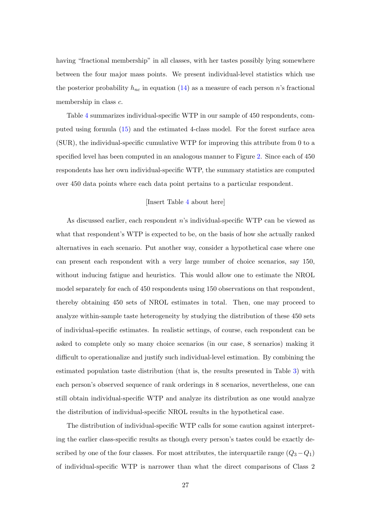having "fractional membership" in all classes, with her tastes possibly lying somewhere between the four major mass points. We present individual-level statistics which use the posterior probability  $h_{nc}$  in equation [\(14\)](#page-20-0) as a measure of each person n's fractional membership in class c.

Table [4](#page-55-0) summarizes individual-specific WTP in our sample of 450 respondents, computed using formula [\(15\)](#page-20-1) and the estimated 4-class model. For the forest surface area (SUR), the individual-specific cumulative WTP for improving this attribute from 0 to a specified level has been computed in an analogous manner to Figure [2.](#page-51-0) Since each of 450 respondents has her own individual-specific WTP, the summary statistics are computed over 450 data points where each data point pertains to a particular respondent.

#### [Insert Table [4](#page-55-0) about here]

As discussed earlier, each respondent n's individual-specific WTP can be viewed as what that respondent's WTP is expected to be, on the basis of how she actually ranked alternatives in each scenario. Put another way, consider a hypothetical case where one can present each respondent with a very large number of choice scenarios, say 150, without inducing fatigue and heuristics. This would allow one to estimate the NROL model separately for each of 450 respondents using 150 observations on that respondent, thereby obtaining 450 sets of NROL estimates in total. Then, one may proceed to analyze within-sample taste heterogeneity by studying the distribution of these 450 sets of individual-specific estimates. In realistic settings, of course, each respondent can be asked to complete only so many choice scenarios (in our case, 8 scenarios) making it difficult to operationalize and justify such individual-level estimation. By combining the estimated population taste distribution (that is, the results presented in Table [3\)](#page-54-0) with each person's observed sequence of rank orderings in 8 scenarios, nevertheless, one can still obtain individual-specific WTP and analyze its distribution as one would analyze the distribution of individual-specific NROL results in the hypothetical case.

The distribution of individual-specific WTP calls for some caution against interpreting the earlier class-specific results as though every person's tastes could be exactly described by one of the four classes. For most attributes, the interquartile range  $(Q_3 - Q_1)$ of individual-specific WTP is narrower than what the direct comparisons of Class 2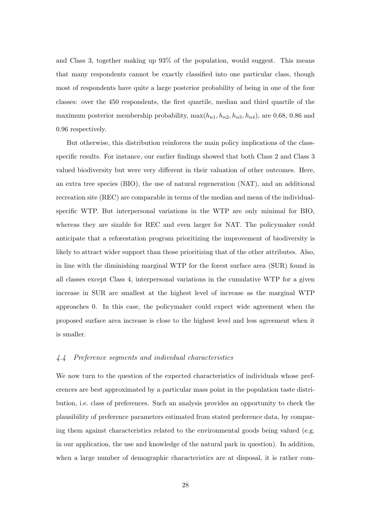and Class 3, together making up 93% of the population, would suggest. This means that many respondents cannot be exactly classified into one particular class, though most of respondents have quite a large posterior probability of being in one of the four classes: over the 450 respondents, the first quartile, median and third quartile of the maximum posterior membership probability,  $\max(h_{n1}, h_{n2}, h_{n3}, h_{n4})$ , are 0.68, 0.86 and 0.96 respectively.

But otherwise, this distribution reinforces the main policy implications of the classspecific results. For instance, our earlier findings showed that both Class 2 and Class 3 valued biodiversity but were very different in their valuation of other outcomes. Here, an extra tree species (BIO), the use of natural regeneration (NAT), and an additional recreation site (REC) are comparable in terms of the median and mean of the individualspecific WTP. But interpersonal variations in the WTP are only minimal for BIO, whereas they are sizable for REC and even larger for NAT. The policymaker could anticipate that a reforestation program prioritizing the improvement of biodiversity is likely to attract wider support than those prioritizing that of the other attributes. Also, in line with the diminishing marginal WTP for the forest surface area (SUR) found in all classes except Class 4, interpersonal variations in the cumulative WTP for a given increase in SUR are smallest at the highest level of increase as the marginal WTP approaches 0. In this case, the policymaker could expect wide agreement when the proposed surface area increase is close to the highest level and less agreement when it is smaller.

### 4.4 Preference segments and individual characteristics

We now turn to the question of the expected characteristics of individuals whose preferences are best approximated by a particular mass point in the population taste distribution, i.e. class of preferences. Such an analysis provides an opportunity to check the plausibility of preference parameters estimated from stated preference data, by comparing them against characteristics related to the environmental goods being valued (e.g. in our application, the use and knowledge of the natural park in question). In addition, when a large number of demographic characteristics are at disposal, it is rather com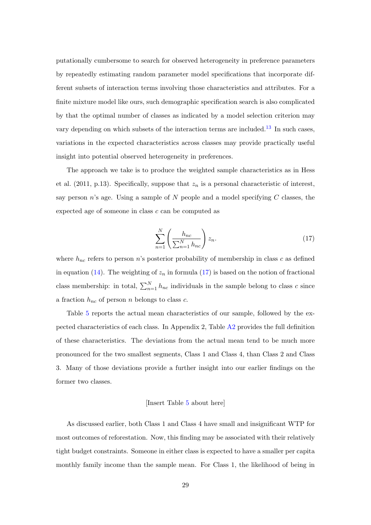putationally cumbersome to search for observed heterogeneity in preference parameters by repeatedly estimating random parameter model specifications that incorporate different subsets of interaction terms involving those characteristics and attributes. For a finite mixture model like ours, such demographic specification search is also complicated by that the optimal number of classes as indicated by a model selection criterion may vary depending on which subsets of the interaction terms are included.[13](#page-37-0) In such cases, variations in the expected characteristics across classes may provide practically useful insight into potential observed heterogeneity in preferences.

The approach we take is to produce the weighted sample characteristics as in Hess et al. (2011, p.13). Specifically, suppose that  $z_n$  is a personal characteristic of interest, say person n's age. Using a sample of N people and a model specifying  $C$  classes, the expected age of someone in class c can be computed as

<span id="page-29-1"></span><span id="page-29-0"></span>
$$
\sum_{n=1}^{N} \left( \frac{h_{nc}}{\sum_{n=1}^{N} h_{nc}} \right) z_n.
$$
\n(17)

where  $h_{nc}$  refers to person n's posterior probability of membership in class c as defined in equation [\(14\)](#page-20-0). The weighting of  $z_n$  in formula [\(17\)](#page-29-0) is based on the notion of fractional class membership: in total,  $\sum_{n=1}^{N} h_{nc}$  individuals in the sample belong to class c since a fraction  $h_{nc}$  of person n belongs to class c.

Table [5](#page-56-0) reports the actual mean characteristics of our sample, followed by the expected characteristics of each class. In Appendix 2, Table [A2](#page-58-0) provides the full definition of these characteristics. The deviations from the actual mean tend to be much more pronounced for the two smallest segments, Class 1 and Class 4, than Class 2 and Class 3. Many of those deviations provide a further insight into our earlier findings on the former two classes.

#### [Insert Table [5](#page-56-0) about here]

As discussed earlier, both Class 1 and Class 4 have small and insignificant WTP for most outcomes of reforestation. Now, this finding may be associated with their relatively tight budget constraints. Someone in either class is expected to have a smaller per capita monthly family income than the sample mean. For Class 1, the likelihood of being in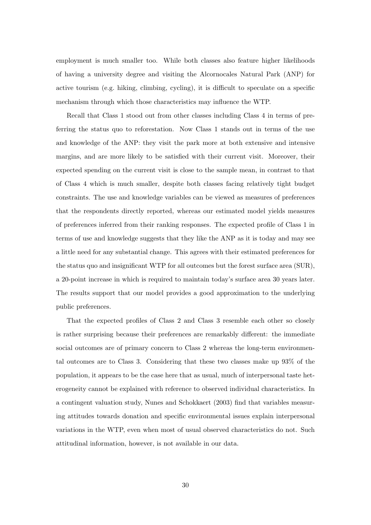employment is much smaller too. While both classes also feature higher likelihoods of having a university degree and visiting the Alcornocales Natural Park (ANP) for active tourism (e.g. hiking, climbing, cycling), it is difficult to speculate on a specific mechanism through which those characteristics may influence the WTP.

Recall that Class 1 stood out from other classes including Class 4 in terms of preferring the status quo to reforestation. Now Class 1 stands out in terms of the use and knowledge of the ANP: they visit the park more at both extensive and intensive margins, and are more likely to be satisfied with their current visit. Moreover, their expected spending on the current visit is close to the sample mean, in contrast to that of Class 4 which is much smaller, despite both classes facing relatively tight budget constraints. The use and knowledge variables can be viewed as measures of preferences that the respondents directly reported, whereas our estimated model yields measures of preferences inferred from their ranking responses. The expected profile of Class 1 in terms of use and knowledge suggests that they like the ANP as it is today and may see a little need for any substantial change. This agrees with their estimated preferences for the status quo and insignificant WTP for all outcomes but the forest surface area (SUR), a 20-point increase in which is required to maintain today's surface area 30 years later. The results support that our model provides a good approximation to the underlying public preferences.

That the expected profiles of Class 2 and Class 3 resemble each other so closely is rather surprising because their preferences are remarkably different: the immediate social outcomes are of primary concern to Class 2 whereas the long-term environmental outcomes are to Class 3. Considering that these two classes make up 93% of the population, it appears to be the case here that as usual, much of interpersonal taste heterogeneity cannot be explained with reference to observed individual characteristics. In a contingent valuation study, Nunes and Schokkaert (2003) find that variables measuring attitudes towards donation and specific environmental issues explain interpersonal variations in the WTP, even when most of usual observed characteristics do not. Such attitudinal information, however, is not available in our data.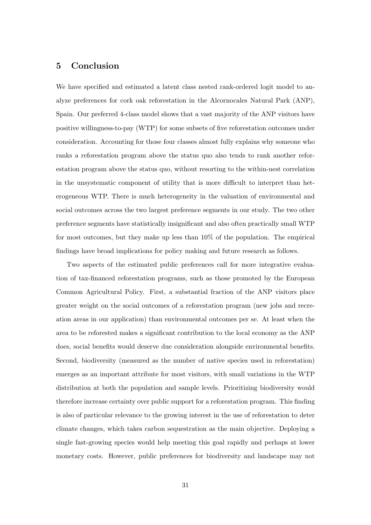### 5 Conclusion

We have specified and estimated a latent class nested rank-ordered logit model to analyze preferences for cork oak reforestation in the Alcornocales Natural Park (ANP), Spain. Our preferred 4-class model shows that a vast majority of the ANP visitors have positive willingness-to-pay (WTP) for some subsets of five reforestation outcomes under consideration. Accounting for those four classes almost fully explains why someone who ranks a reforestation program above the status quo also tends to rank another reforestation program above the status quo, without resorting to the within-nest correlation in the unsystematic component of utility that is more difficult to interpret than heterogeneous WTP. There is much heterogeneity in the valuation of environmental and social outcomes across the two largest preference segments in our study. The two other preference segments have statistically insignificant and also often practically small WTP for most outcomes, but they make up less than 10% of the population. The empirical findings have broad implications for policy making and future research as follows.

Two aspects of the estimated public preferences call for more integrative evaluation of tax-financed reforestation programs, such as those promoted by the European Common Agricultural Policy. First, a substantial fraction of the ANP visitors place greater weight on the social outcomes of a reforestation program (new jobs and recreation areas in our application) than environmental outcomes per se. At least when the area to be reforested makes a significant contribution to the local economy as the ANP does, social benefits would deserve due consideration alongside environmental benefits. Second, biodiversity (measured as the number of native species used in reforestation) emerges as an important attribute for most visitors, with small variations in the WTP distribution at both the population and sample levels. Prioritizing biodiversity would therefore increase certainty over public support for a reforestation program. This finding is also of particular relevance to the growing interest in the use of reforestation to deter climate changes, which takes carbon sequestration as the main objective. Deploying a single fast-growing species would help meeting this goal rapidly and perhaps at lower monetary costs. However, public preferences for biodiversity and landscape may not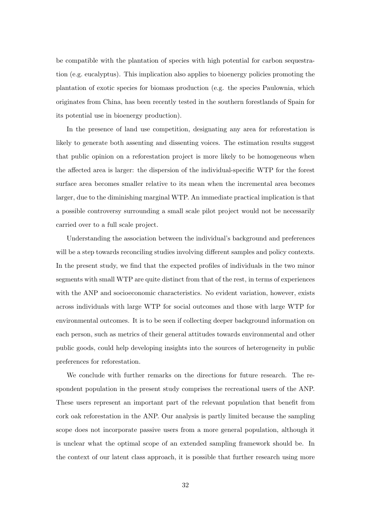be compatible with the plantation of species with high potential for carbon sequestration (e.g. eucalyptus). This implication also applies to bioenergy policies promoting the plantation of exotic species for biomass production (e.g. the species Paulownia, which originates from China, has been recently tested in the southern forestlands of Spain for its potential use in bioenergy production).

In the presence of land use competition, designating any area for reforestation is likely to generate both assenting and dissenting voices. The estimation results suggest that public opinion on a reforestation project is more likely to be homogeneous when the affected area is larger: the dispersion of the individual-specific WTP for the forest surface area becomes smaller relative to its mean when the incremental area becomes larger, due to the diminishing marginal WTP. An immediate practical implication is that a possible controversy surrounding a small scale pilot project would not be necessarily carried over to a full scale project.

Understanding the association between the individual's background and preferences will be a step towards reconciling studies involving different samples and policy contexts. In the present study, we find that the expected profiles of individuals in the two minor segments with small WTP are quite distinct from that of the rest, in terms of experiences with the ANP and socioeconomic characteristics. No evident variation, however, exists across individuals with large WTP for social outcomes and those with large WTP for environmental outcomes. It is to be seen if collecting deeper background information on each person, such as metrics of their general attitudes towards environmental and other public goods, could help developing insights into the sources of heterogeneity in public preferences for reforestation.

We conclude with further remarks on the directions for future research. The respondent population in the present study comprises the recreational users of the ANP. These users represent an important part of the relevant population that benefit from cork oak reforestation in the ANP. Our analysis is partly limited because the sampling scope does not incorporate passive users from a more general population, although it is unclear what the optimal scope of an extended sampling framework should be. In the context of our latent class approach, it is possible that further research using more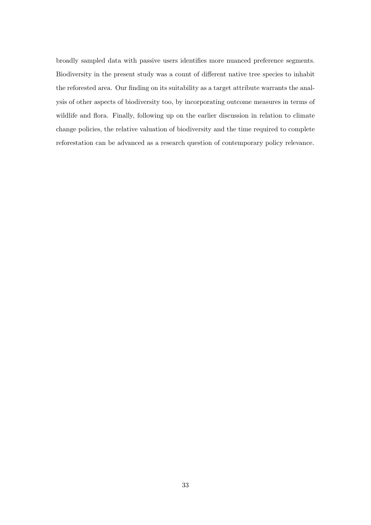broadly sampled data with passive users identifies more nuanced preference segments. Biodiversity in the present study was a count of different native tree species to inhabit the reforested area. Our finding on its suitability as a target attribute warrants the analysis of other aspects of biodiversity too, by incorporating outcome measures in terms of wildlife and flora. Finally, following up on the earlier discussion in relation to climate change policies, the relative valuation of biodiversity and the time required to complete reforestation can be advanced as a research question of contemporary policy relevance.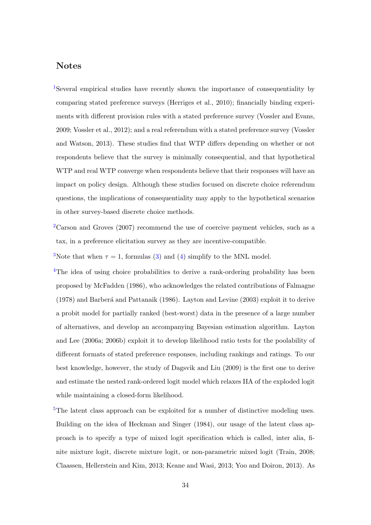## Notes

<span id="page-34-0"></span>[1](#page-10-0)Several empirical studies have recently shown the importance of consequentiality by comparing stated preference surveys (Herriges et al., 2010); financially binding experiments with different provision rules with a stated preference survey (Vossler and Evans, 2009; Vossler et al., 2012); and a real referendum with a stated preference survey (Vossler and Watson, 2013). These studies find that WTP differs depending on whether or not respondents believe that the survey is minimally consequential, and that hypothetical WTP and real WTP converge when respondents believe that their responses will have an impact on policy design. Although these studies focused on discrete choice referendum questions, the implications of consequentiality may apply to the hypothetical scenarios in other survey-based discrete choice methods.

<span id="page-34-1"></span> $2$ Carson and Groves (2007) recommend the use of coercive payment vehicles, such as a tax, in a preference elicitation survey as they are incentive-compatible.

<span id="page-34-3"></span><span id="page-34-2"></span><sup>[3](#page-13-1)</sup>Note that when  $\tau = 1$ , formulas [\(3\)](#page-13-0) and [\(4\)](#page-13-0) simplify to the MNL model.

<sup>[4](#page-13-2)</sup>The idea of using choice probabilities to derive a rank-ordering probability has been proposed by McFadden (1986), who acknowledges the related contributions of Falmagne (1978) and Barberá and Pattanaik (1986). Layton and Levine (2003) exploit it to derive a probit model for partially ranked (best-worst) data in the presence of a large number of alternatives, and develop an accompanying Bayesian estimation algorithm. Layton and Lee (2006a; 2006b) exploit it to develop likelihood ratio tests for the poolability of different formats of stated preference responses, including rankings and ratings. To our best knowledge, however, the study of Dagsvik and Liu (2009) is the first one to derive and estimate the nested rank-ordered logit model which relaxes IIA of the exploded logit while maintaining a closed-form likelihood.

<span id="page-34-4"></span><sup>[5](#page-16-2)</sup>The latent class approach can be exploited for a number of distinctive modeling uses. Building on the idea of Heckman and Singer (1984), our usage of the latent class approach is to specify a type of mixed logit specification which is called, inter alia, finite mixture logit, discrete mixture logit, or non-parametric mixed logit (Train, 2008; Claassen, Hellerstein and Kim, 2013; Keane and Wasi, 2013; Yoo and Doiron, 2013). As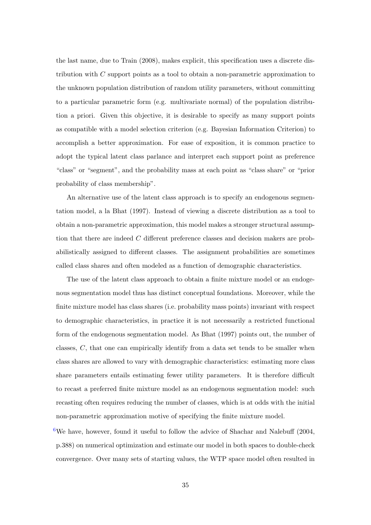the last name, due to Train (2008), makes explicit, this specification uses a discrete distribution with C support points as a tool to obtain a non-parametric approximation to the unknown population distribution of random utility parameters, without committing to a particular parametric form (e.g. multivariate normal) of the population distribution a priori. Given this objective, it is desirable to specify as many support points as compatible with a model selection criterion (e.g. Bayesian Information Criterion) to accomplish a better approximation. For ease of exposition, it is common practice to adopt the typical latent class parlance and interpret each support point as preference "class" or "segment", and the probability mass at each point as "class share" or "prior probability of class membership".

An alternative use of the latent class approach is to specify an endogenous segmentation model, a la Bhat (1997). Instead of viewing a discrete distribution as a tool to obtain a non-parametric approximation, this model makes a stronger structural assumption that there are indeed C different preference classes and decision makers are probabilistically assigned to different classes. The assignment probabilities are sometimes called class shares and often modeled as a function of demographic characteristics.

The use of the latent class approach to obtain a finite mixture model or an endogenous segmentation model thus has distinct conceptual foundations. Moreover, while the finite mixture model has class shares (i.e. probability mass points) invariant with respect to demographic characteristics, in practice it is not necessarily a restricted functional form of the endogenous segmentation model. As Bhat (1997) points out, the number of classes, C, that one can empirically identify from a data set tends to be smaller when class shares are allowed to vary with demographic characteristics: estimating more class share parameters entails estimating fewer utility parameters. It is therefore difficult to recast a preferred finite mixture model as an endogenous segmentation model: such recasting often requires reducing the number of classes, which is at odds with the initial non-parametric approximation motive of specifying the finite mixture model.

<span id="page-35-0"></span> $6$ We have, however, found it useful to follow the advice of Shachar and Nalebuff (2004, p.388) on numerical optimization and estimate our model in both spaces to double-check convergence. Over many sets of starting values, the WTP space model often resulted in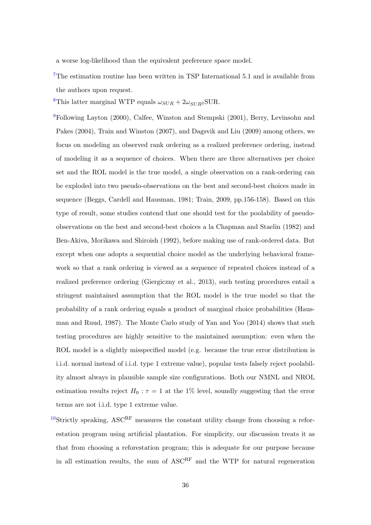<span id="page-36-0"></span>a worse log-likelihood than the equivalent preference space model.

<sup>[7](#page-20-2)</sup>The estimation routine has been written in TSP International 5.1 and is available from the authors upon request.

<span id="page-36-2"></span><span id="page-36-1"></span><sup>[8](#page-21-0)</sup>This latter marginal WTP equals  $\omega_{SUR} + 2\omega_{SUR}$ <sub>2</sub>SUR.

[9](#page-21-1)Following Layton (2000), Calfee, Winston and Stempski (2001), Berry, Levinsohn and Pakes (2004), Train and Winston (2007), and Dagsvik and Liu (2009) among others, we focus on modeling an observed rank ordering as a realized preference ordering, instead of modeling it as a sequence of choices. When there are three alternatives per choice set and the ROL model is the true model, a single observation on a rank-ordering can be exploded into two pseudo-observations on the best and second-best choices made in sequence (Beggs, Cardell and Hausman, 1981; Train, 2009, pp.156-158). Based on this type of result, some studies contend that one should test for the poolability of pseudoobservations on the best and second-best choices a la Chapman and Staelin (1982) and Ben-Akiva, Morikawa and Shiroish (1992), before making use of rank-ordered data. But except when one adopts a sequential choice model as the underlying behavioral framework so that a rank ordering is viewed as a sequence of repeated choices instead of a realized preference ordering (Giergiczny et al., 2013), such testing procedures entail a stringent maintained assumption that the ROL model is the true model so that the probability of a rank ordering equals a product of marginal choice probabilities (Hausman and Ruud, 1987). The Monte Carlo study of Yan and Yoo (2014) shows that such testing procedures are highly sensitive to the maintained assumption: even when the ROL model is a slightly misspecified model (e.g. because the true error distribution is i.i.d. normal instead of i.i.d. type 1 extreme value), popular tests falsely reject poolability almost always in plausible sample size configurations. Both our NMNL and NROL estimation results reject  $H_0$ :  $\tau = 1$  at the 1% level, soundly suggesting that the error terms are not i.i.d. type 1 extreme value.

<span id="page-36-3"></span> $10$ Strictly speaking, ASC<sup>RF</sup> measures the constant utility change from choosing a reforestation program using artificial plantation. For simplicity, our discussion treats it as that from choosing a reforestation program; this is adequate for our purpose because in all estimation results, the sum of ASCRF and the WTP for natural regeneration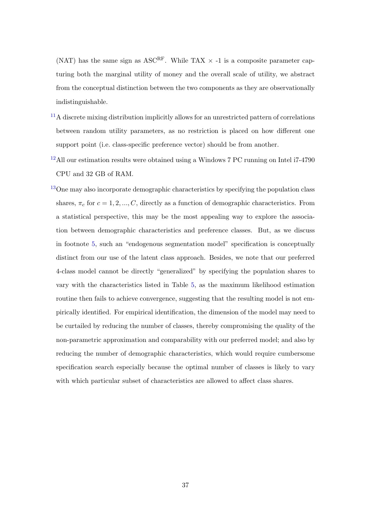(NAT) has the same sign as  $ASC<sup>RF</sup>$ . While TAX  $\times$  -1 is a composite parameter capturing both the marginal utility of money and the overall scale of utility, we abstract from the conceptual distinction between the two components as they are observationally indistinguishable.

- <span id="page-37-1"></span><sup>[11](#page-26-0)</sup>A discrete mixing distribution implicitly allows for an unrestricted pattern of correlations between random utility parameters, as no restriction is placed on how different one support point (i.e. class-specific preference vector) should be from another.
- <span id="page-37-2"></span><sup>[12](#page-26-1)</sup>All our estimation results were obtained using a Windows 7 PC running on Intel i7-4790 CPU and 32 GB of RAM.
- <span id="page-37-0"></span><sup>[13](#page-29-1)</sup>One may also incorporate demographic characteristics by specifying the population class shares,  $\pi_c$  for  $c = 1, 2, ..., C$ , directly as a function of demographic characteristics. From a statistical perspective, this may be the most appealing way to explore the association between demographic characteristics and preference classes. But, as we discuss in footnote [5,](#page-34-4) such an "endogenous segmentation model" specification is conceptually distinct from our use of the latent class approach. Besides, we note that our preferred 4-class model cannot be directly "generalized" by specifying the population shares to vary with the characteristics listed in Table [5,](#page-56-0) as the maximum likelihood estimation routine then fails to achieve convergence, suggesting that the resulting model is not empirically identified. For empirical identification, the dimension of the model may need to be curtailed by reducing the number of classes, thereby compromising the quality of the non-parametric approximation and comparability with our preferred model; and also by reducing the number of demographic characteristics, which would require cumbersome specification search especially because the optimal number of classes is likely to vary with which particular subset of characteristics are allowed to affect class shares.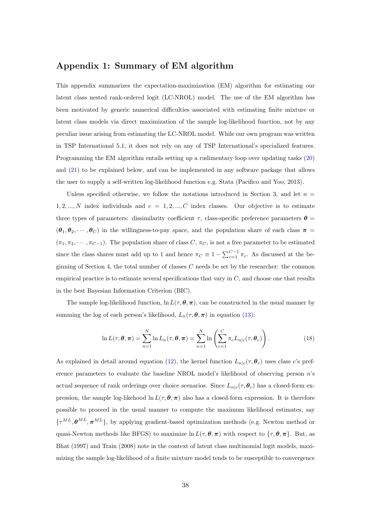### Appendix 1: Summary of EM algorithm

This appendix summarizes the expectation-maximization (EM) algorithm for estimating our latent class nested rank-ordered logit (LC-NROL) model. The use of the EM algorithm has been motivated by generic numerical difficulties associated with estimating finite mixture or latent class models via direct maximization of the sample log-likelihood function, not by any peculiar issue arising from estimating the LC-NROL model. While our own program was written in TSP International 5.1, it does not rely on any of TSP International's specialized features. Programming the EM algorithm entails setting up a rudimentary loop over updating tasks [\(20\)](#page-39-0) and [\(21\)](#page-39-0) to be explained below, and can be implemented in any software package that allows the user to supply a self-written log-likelihood function e.g. Stata (Pacifico and Yoo, 2013).

Unless specified otherwise, we follow the notations introduced in Section 3, and let  $n =$  $1, 2, ..., N$  index individuals and  $c = 1, 2, ..., C$  index classes. Our objective is to estimate three types of parameters: dissimilarity coefficient  $\tau$ , class-specific preference parameters  $\theta$  =  $(\theta_1, \theta_2, \cdots, \theta_C)$  in the willingness-to-pay space, and the population share of each class  $\pi$  $(\pi_1, \pi_2, \cdots, \pi_{C-1})$ . The population share of class C,  $\pi_C$ , is not a free parameter to be estimated since the class shares must add up to 1 and hence  $\pi_C \equiv 1 - \sum_{c=1}^{C-1} \pi_c$ . As discussed at the beginning of Section 4, the total number of classes  $C$  needs be set by the researcher: the common empirical practice is to estimate several specifications that vary in  $C$ , and choose one that results in the best Bayesian Information Criterion (BIC).

The sample log-likelihood function, ln  $L(\tau, \theta, \pi)$ , can be constructed in the usual manner by summing the log of each person's likelihood,  $L_n(\tau, \theta, \pi)$  in equation [\(13\)](#page-19-0):

$$
\ln L(\tau, \boldsymbol{\theta}, \boldsymbol{\pi}) = \sum_{n=1}^{N} \ln L_n(\tau, \boldsymbol{\theta}, \boldsymbol{\pi}) = \sum_{n=1}^{N} \ln \left( \sum_{c=1}^{C} \pi_c L_{n|c}(\tau, \boldsymbol{\theta}_c) \right).
$$
(18)

As explained in detail around equation [\(12\)](#page-19-1), the kernel function  $L_{n|c}(\tau, \theta_c)$  uses class c's preference parameters to evaluate the baseline NROL model's likelihood of observing person n's actual sequence of rank orderings over choice scenarios. Since  $L_{n|c}(\tau, \theta_c)$  has a closed-form expression, the sample log-likehood ln  $L(\tau, \theta, \pi)$  also has a closed-form expression. It is therefore possible to proceed in the usual manner to compute the maximum likelihood estimates, say  $\{\tau^{ML}, \theta^{ML}, \pi^{ML}\},$  by applying gradient-based optimization methods (e.g. Newton method or quasi-Newton methods like BFGS) to maximize  $\ln L(\tau, \theta, \pi)$  with respect to  $\{\tau, \theta, \pi\}$ . But, as Bhat (1997) and Train (2008) note in the context of latent class multinomial logit models, maximizing the sample log-likelihood of a finite mixture model tends to be susceptible to convergence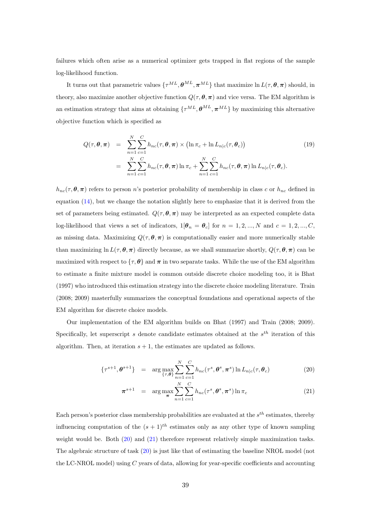failures which often arise as a numerical optimizer gets trapped in flat regions of the sample log-likelihood function.

It turns out that parametric values  $\{\tau^{ML}, \theta^{ML}, \pi^{ML}\}\$  that maximize  $\ln L(\tau, \theta, \pi)$  should, in theory, also maximize another objective function  $Q(\tau, \theta, \pi)$  and vice versa. The EM algorithm is an estimation strategy that aims at obtaining  $\{\tau^{ML}, \theta^{ML}, \pi^{ML}\}\$  by maximizing this alternative objective function which is specified as

$$
Q(\tau, \theta, \pi) = \sum_{n=1}^{N} \sum_{c=1}^{C} h_{nc}(\tau, \theta, \pi) \times (\ln \pi_c + \ln L_{n|c}(\tau, \theta_c))
$$
  

$$
= \sum_{n=1}^{N} \sum_{c=1}^{C} h_{nc}(\tau, \theta, \pi) \ln \pi_c + \sum_{n=1}^{N} \sum_{c=1}^{C} h_{nc}(\tau, \theta, \pi) \ln L_{n|c}(\tau, \theta_c).
$$
 (19)

 $h_{nc}(\tau, \theta, \pi)$  refers to person n's posterior probability of membership in class c or  $h_{nc}$  defined in equation [\(14\)](#page-20-0), but we change the notation slightly here to emphasize that it is derived from the set of parameters being estimated.  $Q(\tau, \theta, \pi)$  may be interpreted as an expected complete data log-likelihood that views a set of indicators,  $1[\theta_n = \theta_c]$  for  $n = 1, 2, ..., N$  and  $c = 1, 2, ..., C$ , as missing data. Maximizing  $Q(\tau, \theta, \pi)$  is computationally easier and more numerically stable than maximizing ln  $L(\tau, \theta, \pi)$  directly because, as we shall summarize shortly,  $Q(\tau, \theta, \pi)$  can be maximized with respect to  $\{\tau, \theta\}$  and  $\pi$  in two separate tasks. While the use of the EM algorithm to estimate a finite mixture model is common outside discrete choice modeling too, it is Bhat (1997) who introduced this estimation strategy into the discrete choice modeling literature. Train (2008; 2009) masterfully summarizes the conceptual foundations and operational aspects of the EM algorithm for discrete choice models.

Our implementation of the EM algorithm builds on Bhat (1997) and Train (2008; 2009). Specifically, let superscript s denote candidate estimates obtained at the  $s^{th}$  iteration of this algorithm. Then, at iteration  $s + 1$ , the estimates are updated as follows.

<span id="page-39-0"></span>
$$
\{\tau^{s+1},\boldsymbol{\theta}^{s+1}\} \quad = \quad \arg\max_{\{\tau,\boldsymbol{\theta}\}} \sum_{n=1}^N \sum_{c=1}^C h_{nc}(\tau^s,\boldsymbol{\theta}^s,\boldsymbol{\pi}^s) \ln L_{n|c}(\tau,\boldsymbol{\theta}_c) \tag{20}
$$

$$
\boldsymbol{\pi}^{s+1} = \arg \max_{\boldsymbol{\pi}} \sum_{n=1}^{N} \sum_{c=1}^{C} h_{nc}(\boldsymbol{\tau}^s, \boldsymbol{\theta}^s, \boldsymbol{\pi}^s) \ln \pi_c \tag{21}
$$

Each person's posterior class membership probabilities are evaluated at the  $s^{th}$  estimates, thereby influencing computation of the  $(s + 1)^{th}$  estimates only as any other type of known sampling weight would be. Both [\(20\)](#page-39-0) and [\(21\)](#page-39-0) therefore represent relatively simple maximization tasks. The algebraic structure of task [\(20\)](#page-39-0) is just like that of estimating the baseline NROL model (not the LC-NROL model) using  $C$  years of data, allowing for year-specific coefficients and accounting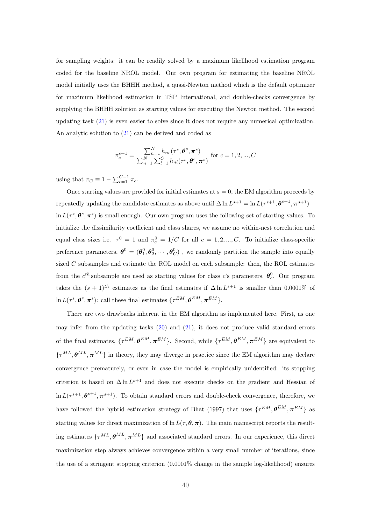for sampling weights: it can be readily solved by a maximum likelihood estimation program coded for the baseline NROL model. Our own program for estimating the baseline NROL model initially uses the BHHH method, a quasi-Newton method which is the default optimizer for maximum likelihood estimation in TSP International, and double-checks convergence by supplying the BHHH solution as starting values for executing the Newton method. The second updating task [\(21\)](#page-39-0) is even easier to solve since it does not require any numerical optimization. An analytic solution to [\(21\)](#page-39-0) can be derived and coded as

$$
\pi_c^{s+1} = \frac{\sum_{n=1}^{N} h_{nc}(\tau^s, \theta^s, \pi^s)}{\sum_{n=1}^{N} \sum_{l=1}^{C} h_{nl}(\tau^s, \theta^s, \pi^s)} \text{ for } c = 1, 2, ..., C
$$

using that  $\pi_C \equiv 1 - \sum_{c=1}^{C-1} \pi_c$ .

Once starting values are provided for initial estimates at  $s = 0$ , the EM algorithm proceeds by repeatedly updating the candidate estimates as above until  $\Delta \ln L^{s+1} = \ln L(\tau^{s+1}, \theta^{s+1}, \pi^{s+1})$  $\ln L(\tau^s, \theta^s, \pi^s)$  is small enough. Our own program uses the following set of starting values. To initialize the dissimilarity coefficient and class shares, we assume no within-nest correlation and equal class sizes i.e.  $\tau^0 = 1$  and  $\pi_c^0 = 1/C$  for all  $c = 1, 2, ..., C$ . To initialize class-specific preference parameters,  $\theta^0 = (\theta_1^0, \theta_2^0, \cdots, \theta_C^0)$ , we randomly partition the sample into equally sized  $C$  subsamples and estimate the ROL model on each subsample: then, the ROL estimates from the  $c^{th}$  subsample are used as starting values for class c's parameters,  $\theta_c^0$ . Our program takes the  $(s + 1)^{th}$  estimates as the final estimates if  $\Delta \ln L^{s+1}$  is smaller than 0.0001% of  $\ln L(\tau^s, \theta^s, \pi^s)$ : call these final estimates  $\{\tau^{EM}, \theta^{EM}, \pi^{EM}\}.$ 

There are two drawbacks inherent in the EM algorithm as implemented here. First, as one may infer from the updating tasks  $(20)$  and  $(21)$ , it does not produce valid standard errors of the final estimates,  $\{\tau^{EM}, \theta^{EM}, \pi^{EM}\}$ . Second, while  $\{\tau^{EM}, \theta^{EM}, \pi^{EM}\}$  are equivalent to  $\{\tau^{ML}, \theta^{ML}, \pi^{ML}\}\$  in theory, they may diverge in practice since the EM algorithm may declare convergence prematurely, or even in case the model is empirically unidentified: its stopping criterion is based on  $\Delta \ln L^{s+1}$  and does not execute checks on the gradient and Hessian of  $\ln L(\tau^{s+1}, \theta^{s+1}, \pi^{s+1})$ . To obtain standard errors and double-check convergence, therefore, we have followed the hybrid estimation strategy of Bhat (1997) that uses  $\{\tau^{EM}, \theta^{EM}, \pi^{EM}\}\$  as starting values for direct maximization of  $\ln L(\tau, \theta, \pi)$ . The main manuscript reports the resulting estimates  $\{\tau^{ML}, \theta^{ML}, \pi^{ML}\}\$  and associated standard errors. In our experience, this direct maximization step always achieves convergence within a very small number of iterations, since the use of a stringent stopping criterion (0.0001% change in the sample log-likelihood) ensures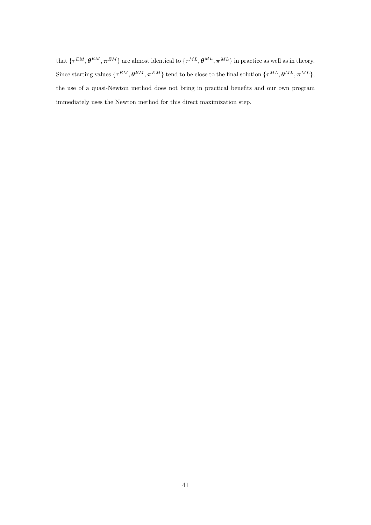that  $\{\tau^{EM}, \theta^{EM}, \pi^{EM}\}\$ are almost identical to  $\{\tau^{ML}, \theta^{ML}, \pi^{ML}\}\$  in practice as well as in theory. Since starting values  $\{\tau^{EM}, \theta^{EM}, \pi^{EM}\}\$ tend to be close to the final solution  $\{\tau^{ML}, \theta^{ML}, \pi^{ML}\}\$ the use of a quasi-Newton method does not bring in practical benefits and our own program immediately uses the Newton method for this direct maximization step.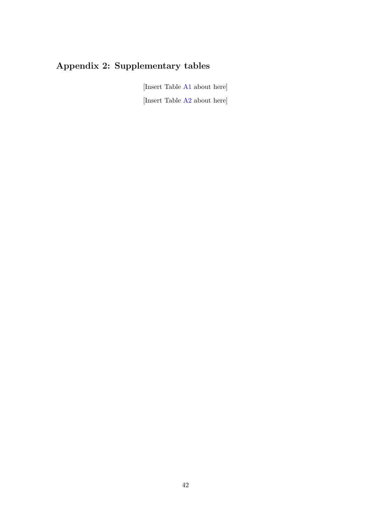# Appendix 2: Supplementary tables

[Insert Table [A1](#page-57-0) about here] [Insert Table [A2](#page-58-0) about here]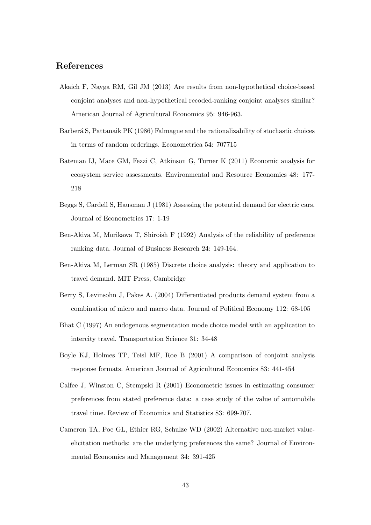### References

- Akaich F, Nayga RM, Gil JM (2013) Are results from non-hypothetical choice-based conjoint analyses and non-hypothetical recoded-ranking conjoint analyses similar? American Journal of Agricultural Economics 95: 946-963.
- Barberá S, Pattanaik PK (1986) Falmagne and the rationalizability of stochastic choices in terms of random orderings. Econometrica 54: 707715
- Bateman IJ, Mace GM, Fezzi C, Atkinson G, Turner K (2011) Economic analysis for ecosystem service assessments. Environmental and Resource Economics 48: 177- 218
- Beggs S, Cardell S, Hausman J (1981) Assessing the potential demand for electric cars. Journal of Econometrics 17: 1-19
- Ben-Akiva M, Morikawa T, Shiroish F (1992) Analysis of the reliability of preference ranking data. Journal of Business Research 24: 149-164.
- Ben-Akiva M, Lerman SR (1985) Discrete choice analysis: theory and application to travel demand. MIT Press, Cambridge
- Berry S, Levinsohn J, Pakes A. (2004) Differentiated products demand system from a combination of micro and macro data. Journal of Political Economy 112: 68-105
- Bhat C (1997) An endogenous segmentation mode choice model with an application to intercity travel. Transportation Science 31: 34-48
- Boyle KJ, Holmes TP, Teisl MF, Roe B (2001) A comparison of conjoint analysis response formats. American Journal of Agricultural Economics 83: 441-454
- Calfee J, Winston C, Stempski R (2001) Econometric issues in estimating consumer preferences from stated preference data: a case study of the value of automobile travel time. Review of Economics and Statistics 83: 699-707.
- Cameron TA, Poe GL, Ethier RG, Schulze WD (2002) Alternative non-market valueelicitation methods: are the underlying preferences the same? Journal of Environmental Economics and Management 34: 391-425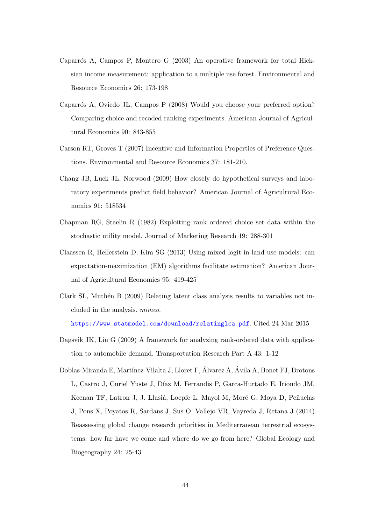- Caparrós A, Campos P, Montero G (2003) An operative framework for total Hicksian income measurement: application to a multiple use forest. Environmental and Resource Economics 26: 173-198
- Caparrós A, Oviedo JL, Campos P  $(2008)$  Would you choose your preferred option? Comparing choice and recoded ranking experiments. American Journal of Agricultural Economics 90: 843-855
- Carson RT, Groves T (2007) Incentive and Information Properties of Preference Questions. Environmental and Resource Economics 37: 181-210.
- Chang JB, Luck JL, Norwood (2009) How closely do hypothetical surveys and laboratory experiments predict field behavior? American Journal of Agricultural Economics 91: 518534
- Chapman RG, Staelin R (1982) Exploiting rank ordered choice set data within the stochastic utility model. Journal of Marketing Research 19: 288-301
- Claassen R, Hellerstein D, Kim SG (2013) Using mixed logit in land use models: can expectation-maximization (EM) algorithms facilitate estimation? American Journal of Agricultural Economics 95: 419-425
- Clark SL, Muthén B  $(2009)$  Relating latent class analysis results to variables not included in the analysis. mimeo.

<https://www.statmodel.com/download/relatinglca.pdf>. Cited 24 Mar 2015

- Dagsvik JK, Liu G (2009) A framework for analyzing rank-ordered data with application to automobile demand. Transportation Research Part A 43: 1-12
- Doblas-Miranda E, Martínez-Vilalta J, Lloret F, Álvarez A, Ávila A, Bonet FJ, Brotons L, Castro J, Curiel Yuste J, Díaz M, Ferrandis P, Garca-Hurtado E, Iriondo JM, Keenan TF, Latron J, J. Llusiá, Loepfe L, Mayol M, Moré G, Moya D, Peñuelas J, Pons X, Poyatos R, Sardans J, Sus O, Vallejo VR, Vayreda J, Retana J (2014) Reassessing global change research priorities in Mediterranean terrestrial ecosystems: how far have we come and where do we go from here? Global Ecology and Biogeography 24: 25-43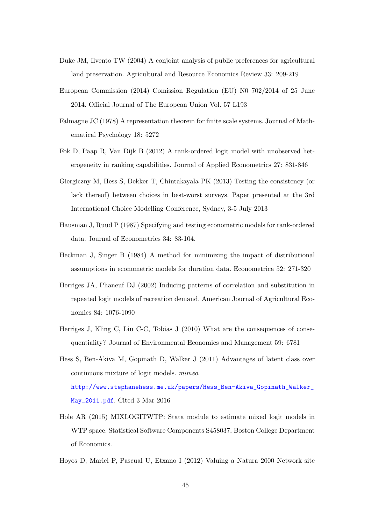- Duke JM, Ilvento TW (2004) A conjoint analysis of public preferences for agricultural land preservation. Agricultural and Resource Economics Review 33: 209-219
- European Commission (2014) Comission Regulation (EU) N0 702/2014 of 25 June 2014. Official Journal of The European Union Vol. 57 L193
- Falmagne JC (1978) A representation theorem for finite scale systems. Journal of Mathematical Psychology 18: 5272
- Fok D, Paap R, Van Dijk B (2012) A rank-ordered logit model with unobserved heterogeneity in ranking capabilities. Journal of Applied Econometrics 27: 831-846
- Giergiczny M, Hess S, Dekker T, Chintakayala PK (2013) Testing the consistency (or lack thereof) between choices in best-worst surveys. Paper presented at the 3rd International Choice Modelling Conference, Sydney, 3-5 July 2013
- Hausman J, Ruud P (1987) Specifying and testing econometric models for rank-ordered data. Journal of Econometrics 34: 83-104.
- Heckman J, Singer B (1984) A method for minimizing the impact of distributional assumptions in econometric models for duration data. Econometrica 52: 271-320
- Herriges JA, Phaneuf DJ (2002) Inducing patterns of correlation and substitution in repeated logit models of recreation demand. American Journal of Agricultural Economics 84: 1076-1090
- Herriges J, Kling C, Liu C-C, Tobias J (2010) What are the consequences of consequentiality? Journal of Environmental Economics and Management 59: 6781
- Hess S, Ben-Akiva M, Gopinath D, Walker J (2011) Advantages of latent class over continuous mixture of logit models. mimeo. [http://www.stephanehess.me.uk/papers/Hess\\_Ben-Akiva\\_Gopinath\\_Walker\\_](http://www.stephanehess.me.uk/papers/Hess_Ben-Akiva_Gopinath_Walker_May_2011.pdf) [May\\_2011.pdf](http://www.stephanehess.me.uk/papers/Hess_Ben-Akiva_Gopinath_Walker_May_2011.pdf). Cited 3 Mar 2016
- Hole AR (2015) MIXLOGITWTP: Stata module to estimate mixed logit models in WTP space. Statistical Software Components S458037, Boston College Department of Economics.
- Hoyos D, Mariel P, Pascual U, Etxano I (2012) Valuing a Natura 2000 Network site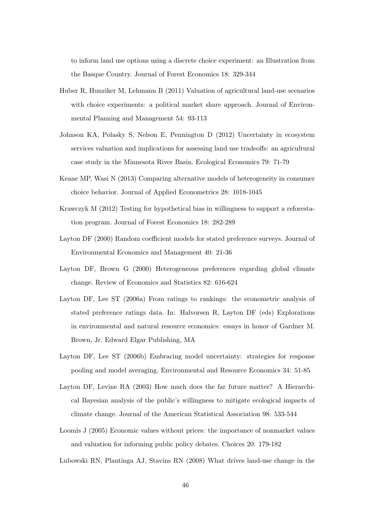to inform land use options using a discrete choice experiment: an Illustration from the Basque Country. Journal of Forest Economics 18: 329-344

- Huber R, Hunziker M, Lehmann B (2011) Valuation of agricultural land-use scenarios with choice experiments: a political market share approach. Journal of Environmental Planning and Management 54: 93-113
- Johnson KA, Polasky S, Nelson E, Pennington D (2012) Uncertainty in ecosystem services valuation and implications for assessing land use tradeoffs: an agricultural case study in the Minnesota River Basin. Ecological Economics 79: 71-79
- Keane MP, Wasi N (2013) Comparing alternative models of heterogeneity in consumer choice behavior. Journal of Applied Econometrics 28: 1018-1045
- Krawczyk M (2012) Testing for hypothetical bias in willingness to support a reforestation program. Journal of Forest Economics 18: 282-289
- Layton DF (2000) Random coefficient models for stated preference surveys. Journal of Environmental Economics and Management 40: 21-36
- Layton DF, Brown G (2000) Heterogeneous preferences regarding global climate change. Review of Economics and Statistics 82: 616-624
- Layton DF, Lee ST (2006a) From ratings to rankings: the econometric analysis of stated preference ratings data. In: Halvorsen R, Layton DF (eds) Explorations in environmental and natural resource economics: essays in honor of Gardner M. Brown, Jr. Edward Elgar Publishing, MA
- Layton DF, Lee ST (2006b) Embracing model uncertainty: strategies for response pooling and model averaging. Environmental and Resource Economics 34: 51-85
- Layton DF, Levine RA (2003) How much does the far future matter? A Hierarchical Bayesian analysis of the public's willingness to mitigate ecological impacts of climate change. Journal of the American Statistical Association 98: 533-544
- Loomis J (2005) Economic values without prices: the importance of nonmarket values and valuation for informing public policy debates. Choices 20: 179-182

Lubowski RN, Plantinga AJ, Stavins RN (2008) What drives land-use change in the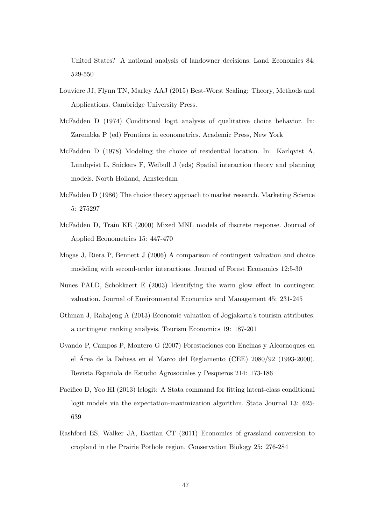United States? A national analysis of landowner decisions. Land Economics 84: 529-550

- Louviere JJ, Flynn TN, Marley AAJ (2015) Best-Worst Scaling: Theory, Methods and Applications. Cambridge University Press.
- McFadden D (1974) Conditional logit analysis of qualitative choice behavior. In: Zarembka P (ed) Frontiers in econometrics. Academic Press, New York
- McFadden D (1978) Modeling the choice of residential location. In: Karlqvist A, Lundqvist L, Snickars F, Weibull J (eds) Spatial interaction theory and planning models. North Holland, Amsterdam
- McFadden D (1986) The choice theory approach to market research. Marketing Science 5: 275297
- McFadden D, Train KE (2000) Mixed MNL models of discrete response. Journal of Applied Econometrics 15: 447-470
- Mogas J, Riera P, Bennett J (2006) A comparison of contingent valuation and choice modeling with second-order interactions. Journal of Forest Economics 12:5-30
- Nunes PALD, Schokkaert E (2003) Identifying the warm glow effect in contingent valuation. Journal of Environmental Economics and Management 45: 231-245
- Othman J, Rahajeng A (2013) Economic valuation of Jogjakarta's tourism attributes: a contingent ranking analysis. Tourism Economics 19: 187-201
- Ovando P, Campos P, Montero G (2007) Forestaciones con Encinas y Alcornoques en el Area de la Dehesa en el Marco del Reglamento (CEE) 2080/92 (1993-2000). ´ Revista Española de Estudio Agrosociales y Pesqueros 214: 173-186
- Pacifico D, Yoo HI (2013) lclogit: A Stata command for fitting latent-class conditional logit models via the expectation-maximization algorithm. Stata Journal 13: 625- 639
- Rashford BS, Walker JA, Bastian CT (2011) Economics of grassland conversion to cropland in the Prairie Pothole region. Conservation Biology 25: 276-284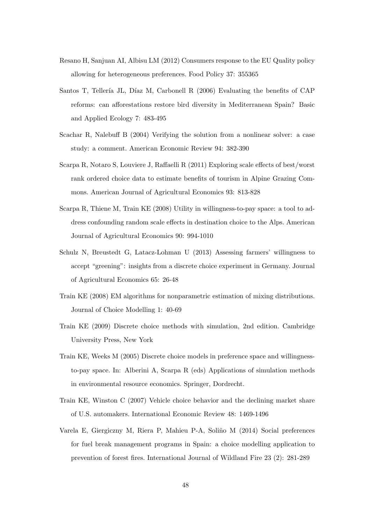- Resano H, Sanjuan AI, Albisu LM (2012) Consumers response to the EU Quality policy allowing for heterogeneous preferences. Food Policy 37: 355365
- Santos T, Tellería JL, Díaz M, Carbonell R (2006) Evaluating the benefits of CAP reforms: can afforestations restore bird diversity in Mediterranean Spain? Basic and Applied Ecology 7: 483-495
- Scachar R, Nalebuff B (2004) Verifying the solution from a nonlinear solver: a case study: a comment. American Economic Review 94: 382-390
- Scarpa R, Notaro S, Louviere J, Raffaelli R (2011) Exploring scale effects of best/worst rank ordered choice data to estimate benefits of tourism in Alpine Grazing Commons. American Journal of Agricultural Economics 93: 813-828
- Scarpa R, Thiene M, Train KE (2008) Utility in willingness-to-pay space: a tool to address confounding random scale effects in destination choice to the Alps. American Journal of Agricultural Economics 90: 994-1010
- Schulz N, Breustedt G, Latacz-Lohman U (2013) Assessing farmers' willingness to accept "greening": insights from a discrete choice experiment in Germany. Journal of Agricultural Economics 65: 26-48
- Train KE (2008) EM algorithms for nonparametric estimation of mixing distributions. Journal of Choice Modelling 1: 40-69
- Train KE (2009) Discrete choice methods with simulation, 2nd edition. Cambridge University Press, New York
- Train KE, Weeks M (2005) Discrete choice models in preference space and willingnessto-pay space. In: Alberini A, Scarpa R (eds) Applications of simulation methods in environmental resource economics. Springer, Dordrecht.
- Train KE, Winston C (2007) Vehicle choice behavior and the declining market share of U.S. automakers. International Economic Review 48: 1469-1496
- Varela E, Giergiczny M, Riera P, Mahieu P-A, Soliño M (2014) Social preferences for fuel break management programs in Spain: a choice modelling application to prevention of forest fires. International Journal of Wildland Fire 23 (2): 281-289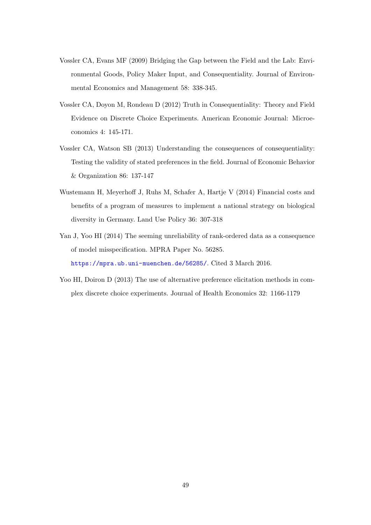- Vossler CA, Evans MF (2009) Bridging the Gap between the Field and the Lab: Environmental Goods, Policy Maker Input, and Consequentiality. Journal of Environmental Economics and Management 58: 338-345.
- Vossler CA, Doyon M, Rondeau D (2012) Truth in Consequentiality: Theory and Field Evidence on Discrete Choice Experiments. American Economic Journal: Microeconomics 4: 145-171.
- Vossler CA, Watson SB (2013) Understanding the consequences of consequentiality: Testing the validity of stated preferences in the field. Journal of Economic Behavior & Organization 86: 137-147
- Wustemann H, Meyerhoff J, Ruhs M, Schafer A, Hartje V (2014) Financial costs and benefits of a program of measures to implement a national strategy on biological diversity in Germany. Land Use Policy 36: 307-318
- Yan J, Yoo HI (2014) The seeming unreliability of rank-ordered data as a consequence of model misspecification. MPRA Paper No. 56285. <https://mpra.ub.uni-muenchen.de/56285/>. Cited 3 March 2016.
- Yoo HI, Doiron D (2013) The use of alternative preference elicitation methods in complex discrete choice experiments. Journal of Health Economics 32: 1166-1179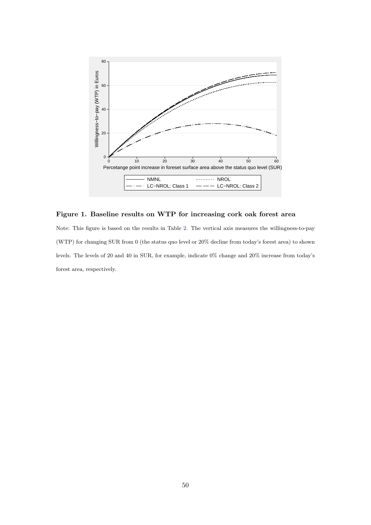<span id="page-50-0"></span>

Figure 1. Baseline results on WTP for increasing cork oak forest area

Note: This figure is based on the results in Table [2.](#page-53-0) The vertical axis measures the willingness-to-pay (WTP) for changing SUR from 0 (the status quo level or 20% decline from today's forest area) to shown levels. The levels of 20 and 40 in SUR, for example, indicate 0% change and 20% increase from today's forest area, respectively.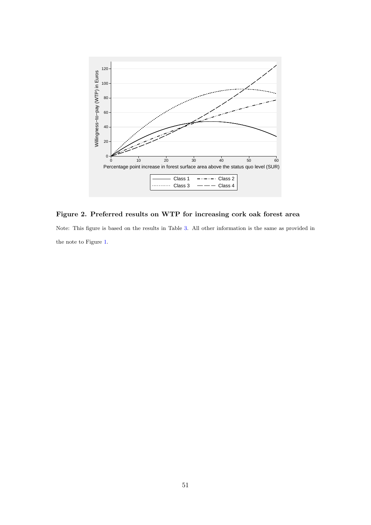<span id="page-51-0"></span>

Figure 2. Preferred results on WTP for increasing cork oak forest area Note: This figure is based on the results in Table [3.](#page-54-0) All other information is the same as provided in the note to Figure [1.](#page-50-0)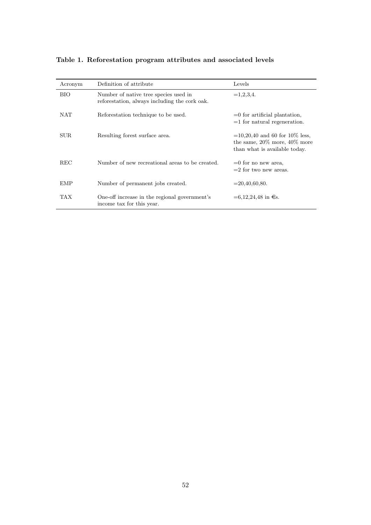| Acronym    | Definition of attribute                                                                | Levels                                                                                                  |
|------------|----------------------------------------------------------------------------------------|---------------------------------------------------------------------------------------------------------|
| BIO        | Number of native tree species used in<br>reforestation, always including the cork oak. | $=1,2,3,4.$                                                                                             |
| <b>NAT</b> | Reforestation technique to be used.                                                    | $=0$ for artificial plantation,<br>$=1$ for natural regeneration.                                       |
| <b>SUR</b> | Resulting forest surface area.                                                         | $=10,20,40$ and 60 for 10% less,<br>the same, $20\%$ more, $40\%$ more<br>than what is available today. |
| <b>REC</b> | Number of new recreational areas to be created.                                        | $=0$ for no new area,<br>$=$ 2 for two new areas.                                                       |
| <b>EMP</b> | Number of permanent jobs created.                                                      | $= 20, 40, 60, 80.$                                                                                     |
| <b>TAX</b> | One-off increase in the regional government's<br>income tax for this year.             | $=6,12,24,48$ in $\in$ s.                                                                               |

<span id="page-52-0"></span>Table 1. Reforestation program attributes and associated levels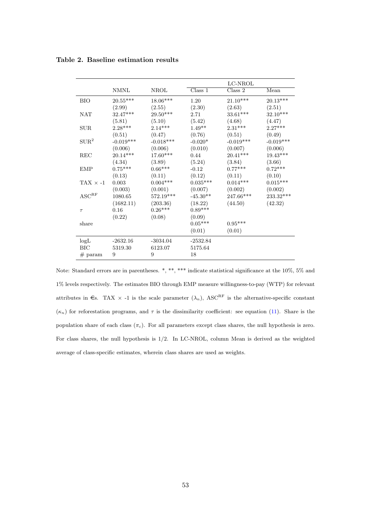<span id="page-53-0"></span>

| Table 2. Baseline estimation results |  |  |
|--------------------------------------|--|--|
|                                      |  |  |

|                              |             |             |            | LC-NROL         |             |
|------------------------------|-------------|-------------|------------|-----------------|-------------|
|                              | <b>NMNL</b> | NROL        | Class 1    | Class 2         | Mean        |
| <b>BIO</b>                   | $20.55***$  | $18.06***$  | 1.20       | $21.10***$      | $20.13***$  |
|                              | (2.99)      | (2.55)      | (2.30)     | (2.63)          | (2.51)      |
| NAT                          | $32.47***$  | $29.50***$  | 2.71       | $33.61***$      | $32.10***$  |
|                              | (5.81)      | (5.10)      | (5.42)     | (4.68)          | (4.47)      |
| $\text{SUR}$                 | $2.28***$   | $2.14***$   | $1.49**$   | $2.31***$       | $2.27***$   |
|                              | (0.51)      | (0.47)      | (0.76)     | (0.51)          | (0.49)      |
| $\text{SUR}^2$               | $-0.019***$ | $-0.018***$ | $-0.020*$  | $-0.019***$     | $-0.019***$ |
|                              | (0.006)     | (0.006)     | (0.010)    | (0.007)         | (0.006)     |
| <b>REC</b>                   | $20.14***$  | $17.60***$  | 0.44       | $20.41***$      | $19.43***$  |
|                              | (4.34)      | (3.89)      | (5.24)     | (3.84)          | (3.66)      |
| <b>EMP</b>                   | $0.75***$   | $0.66***$   | $-0.12$    | $0.77***$       | $0.72***$   |
|                              | (0.13)      | (0.11)      | (0.12)     | (0.11)          | (0.10)      |
| TAX $\times$ -1              | 0.003       | $0.004***$  | $0.035***$ | $0.014^{***}\;$ | $0.015***$  |
|                              | (0.003)     | (0.001)     | (0.007)    | (0.002)         | (0.002)     |
| $\mathrm{ASC}^{\mathrm{RF}}$ | 1080.65     | 572.19***   | $-45.30**$ | 247.66***       | $233.32***$ |
|                              | (1682.11)   | (203.36)    | (18.22)    | (44.50)         | (42.32)     |
| $\tau$                       | 0.16        | $0.26***$   | $0.89***$  |                 |             |
|                              | (0.22)      | (0.08)      | (0.09)     |                 |             |
| share                        |             |             | $0.05***$  | $0.95***$       |             |
|                              |             |             | (0.01)     | (0.01)          |             |
| logL                         | $-2632.16$  | $-3034.04$  | $-2532.84$ |                 |             |
| <b>BIC</b>                   | 5319.30     | 6123.07     | 5175.64    |                 |             |
| $#$ param                    | 9           | 9           | 18         |                 |             |

Note: Standard errors are in parentheses. \*, \*\*, \*\*\* indicate statistical significance at the 10%, 5% and 1% levels respectively. The estimates BIO through EMP measure willingness-to-pay (WTP) for relevant attributes in  $\epsilon$ s. TAX × -1 is the scale parameter  $(\lambda_n)$ , ASC<sup>RF</sup> is the alternative-specific constant  $(\kappa_n)$  for reforestation programs, and  $\tau$  is the dissimilarity coefficient: see equation [\(11\)](#page-16-1). Share is the population share of each class  $(\pi_c)$ . For all parameters except class shares, the null hypothesis is zero. For class shares, the null hypothesis is 1/2. In LC-NROL, column Mean is derived as the weighted average of class-specific estimates, wherein class shares are used as weights.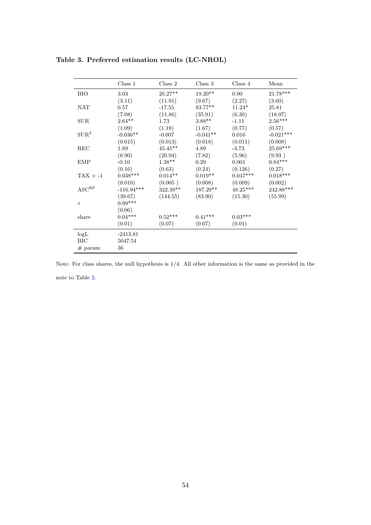|                              | Class 1      | Class 2    | Class 3    | Class 4    | Mean        |
|------------------------------|--------------|------------|------------|------------|-------------|
| <b>BIO</b>                   | 3.03         | $26.27**$  | $19.20**$  | 0.90       | $21.78***$  |
|                              | (3.11)       | (11.91)    | (9.67)     | (2.27)     | (3.60)      |
| NAT                          | 0.57         | $-17.55$   | $83.77**$  | $11.24*$   | 25.81       |
|                              | (7.08)       | (11.86)    | (35.91)    | (6.30)     | (18.07)     |
| SUR.                         | $2.64***$    | 1.73       | $3.88**$   | $-1.11$    | $2.56***$   |
|                              | (1.09)       | (1.18)     | (1.67)     | (0.77)     | (0.57)      |
| $\text{SUR}^2$               | $-0.036**$   | $-0.007$   | $-0.041**$ | 0.016      | $-0.021***$ |
|                              | (0.015)      | (0.013)    | (0.018)    | (0.011)    | (0.008)     |
| <b>REC</b>                   | 1.89         | $45.45**$  | 4.89       | $-3.73$    | $25.69***$  |
|                              | (6.90)       | (20.94)    | (7.82)     | (5.96)     | (9.93)      |
| <b>EMP</b>                   | $-0.10$      | $1.38**$   | 0.29       | 0.001      | $0.84***$   |
|                              | (0.16)       | (0.63)     | (0.24)     | (0.126)    | (0.27)      |
| $TAX \times -1$              | $0.038***$   | $0.014**$  | $0.019**$  | $0.047***$ | $0.018***$  |
|                              | (0.010)      | (0.005)    | (0.008)    | (0.009)    | (0.002)     |
| $\mathrm{ASC}^{\mathrm{RF}}$ | $-116.94***$ | $322.39**$ | 187.29**   | $48.25***$ | $242.88***$ |
|                              | (39.67)      | (144.55)   | (83.90)    | (15.30)    | (55.99)     |
| $\tau$                       | $0.99***$    |            |            |            |             |
|                              | (0.06)       |            |            |            |             |
| share                        | $0.04***$    | $0.52***$  | $0.41***$  | $0.03***$  |             |
|                              | (0.01)       | (0.07)     | (0.07)     | (0.01)     |             |
| logL                         | $-2413.81$   |            |            |            |             |
| <b>BIC</b>                   | 5047.54      |            |            |            |             |
| $#$ param                    | 36           |            |            |            |             |

<span id="page-54-0"></span>Table 3. Preferred estimation results (LC-NROL)

Note: For class shares, the null hypothesis is 1/4. All other information is the same as provided in the

note to Table [2.](#page-53-0)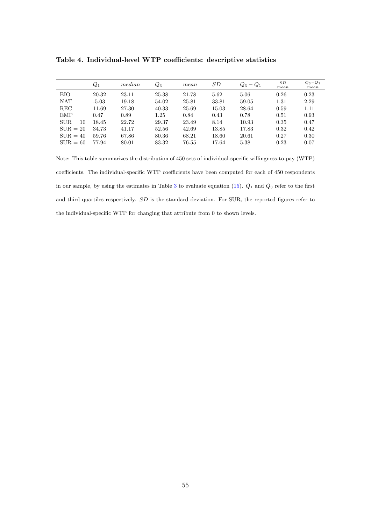|            | $Q_1$   | median | $\scriptstyle Q_3$ | mean  | SD    | $Q_3 - Q_1$ | SD<br>mean | $Q_3 - Q_1$<br>mean |
|------------|---------|--------|--------------------|-------|-------|-------------|------------|---------------------|
| BIO        | 20.32   | 23.11  | 25.38              | 21.78 | 5.62  | 5.06        | 0.26       | 0.23                |
| <b>NAT</b> | $-5.03$ | 19.18  | 54.02              | 25.81 | 33.81 | 59.05       | 1.31       | 2.29                |
| REC        | 11.69   | 27.30  | 40.33              | 25.69 | 15.03 | 28.64       | 0.59       | 1.11                |
| <b>EMP</b> | 0.47    | 0.89   | 1.25               | 0.84  | 0.43  | 0.78        | 0.51       | 0.93                |
| $SUB = 10$ | 18.45   | 22.72  | 29.37              | 23.49 | 8.14  | 10.93       | 0.35       | 0.47                |
| $SUB = 20$ | 34.73   | 41.17  | 52.56              | 42.69 | 13.85 | 17.83       | 0.32       | 0.42                |
| $SUB = 40$ | 59.76   | 67.86  | 80.36              | 68.21 | 18.60 | 20.61       | 0.27       | 0.30                |
| $SUR = 60$ | 77.94   | 80.01  | 83.32              | 76.55 | 17.64 | 5.38        | 0.23       | 0.07                |

<span id="page-55-0"></span>Table 4. Individual-level WTP coefficients: descriptive statistics

Note: This table summarizes the distribution of 450 sets of individual-specific willingness-to-pay (WTP) coefficients. The individual-specific WTP coefficients have been computed for each of 450 respondents in our sample, by using the estimates in Table [3](#page-54-0) to evaluate equation  $(15)$ .  $Q_1$  and  $Q_3$  refer to the first and third quartiles respectively. SD is the standard deviation. For SUR, the reported figures refer to the individual-specific WTP for changing that attribute from 0 to shown levels.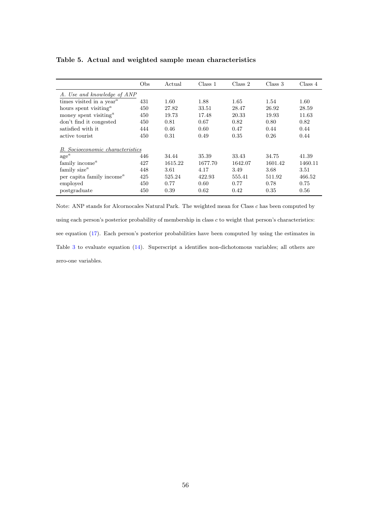|                                              | Obs | Actual  | Class 1 | Class 2 | Class 3 | Class 4 |
|----------------------------------------------|-----|---------|---------|---------|---------|---------|
| A. Use and knowledge of ANP                  |     |         |         |         |         |         |
| times visited in a year <sup><i>a</i></sup>  | 431 | 1.60    | 1.88    | 1.65    | 1.54    | 1.60    |
| hours spent visiting <sup><i>a</i></sup>     | 450 | 27.82   | 33.51   | 28.47   | 26.92   | 28.59   |
| money spent visiting <sup>a</sup>            | 450 | 19.73   | 17.48   | 20.33   | 19.93   | 11.63   |
| don't find it congested                      | 450 | 0.81    | 0.67    | 0.82    | 0.80    | 0.82    |
| satisfied with it                            | 444 | 0.46    | 0.60    | 0.47    | 0.44    | 0.44    |
| active tourist                               | 450 | 0.31    | 0.49    | 0.35    | 0.26    | 0.44    |
| <i>B. Socioeconomic characteristics</i>      |     |         |         |         |         |         |
| $\mathbf{age}^a$                             | 446 | 34.44   | 35.39   | 33.43   | 34.75   | 41.39   |
| family income <sup><i>a</i></sup>            | 427 | 1615.22 | 1677.70 | 1642.07 | 1601.42 | 1460.11 |
| family size $^a$                             | 448 | 3.61    | 4.17    | 3.49    | 3.68    | 3.51    |
| per capita family income <sup><i>a</i></sup> | 425 | 525.24  | 422.93  | 555.41  | 511.92  | 466.52  |
| employed                                     | 450 | 0.77    | 0.60    | 0.77    | 0.78    | 0.75    |
| postgraduate                                 | 450 | 0.39    | 0.62    | 0.42    | 0.35    | 0.56    |

### <span id="page-56-0"></span>Table 5. Actual and weighted sample mean characteristics

Note: ANP stands for Alcornocales Natural Park. The weighted mean for Class c has been computed by using each person's posterior probability of membership in class  $c$  to weight that person's characteristics: see equation [\(17\)](#page-29-0). Each person's posterior probabilities have been computed by using the estimates in Table [3](#page-54-0) to evaluate equation [\(14\)](#page-20-0). Superscript a identifies non-dichotomous variables; all others are zero-one variables.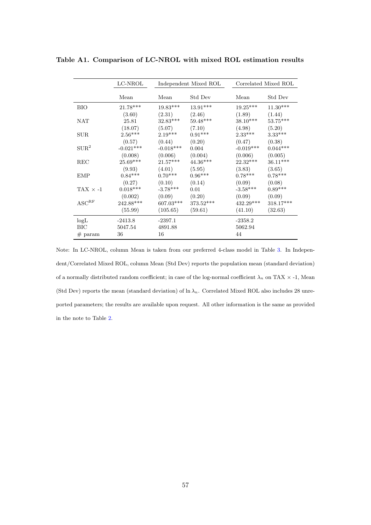|                              | LC-NROL     |             | Independent Mixed ROL | Correlated Mixed ROL |             |  |
|------------------------------|-------------|-------------|-----------------------|----------------------|-------------|--|
|                              | Mean        | Mean        | Std Dev               | Mean                 | Std Dev     |  |
| <b>BIO</b>                   | $21.78***$  | $19.83***$  | $13.91***$            | $19.25***$           | $11.30***$  |  |
|                              | (3.60)      | (2.31)      | (2.46)                | (1.89)               | (1.44)      |  |
| NAT                          | 25.81       | $32.83***$  | $59.48***$            | $38.10***$           | $53.75***$  |  |
|                              | (18.07)     | (5.07)      | (7.10)                | (4.98)               | (5.20)      |  |
| $\text{SUB}$                 | $2.56***$   | $2.19***$   | $0.91***$             | $2.33***$            | $3.33***$   |  |
|                              | (0.57)      | (0.44)      | (0.20)                | (0.47)               | (0.38)      |  |
| $\text{SUB}^2$               | $-0.021***$ | $-0.018***$ | 0.004                 | $-0.019***$          | $0.044***$  |  |
|                              | (0.008)     | (0.006)     | (0.004)               | (0.006)              | (0.005)     |  |
| <b>REC</b>                   | $25.69***$  | $21.57***$  | $44.36***$            | $22.32***$           | $36.11***$  |  |
|                              | (9.93)      | (4.01)      | (5.95)                | (3.83)               | (3.65)      |  |
| <b>EMP</b>                   | $0.84***$   | $0.70***$   | $0.96***$             | $0.78***$            | $0.78***$   |  |
|                              | (0.27)      | (0.10)      | (0.14)                | (0.09)               | (0.08)      |  |
| TAX $\times$ -1              | $0.018***$  | $-3.78***$  | 0.01                  | $-3.58***$           | $0.89***$   |  |
|                              | (0.002)     | (0.09)      | (0.20)                | (0.09)               | (0.09)      |  |
| $\mathrm{ASC}^{\mathrm{RF}}$ | $242.88***$ | $607.03***$ | $373.52***$           | 432.29***            | $318.17***$ |  |
|                              | (55.99)     | (105.65)    | (59.61)               | (41.10)              | (32.63)     |  |
| logL                         | $-2413.8$   | $-2397.1$   |                       | $-2358.2$            |             |  |
| BIC                          | 5047.54     | 4891.88     |                       | 5062.94              |             |  |
| $#$ param                    | 36          | 16          |                       | 44                   |             |  |

<span id="page-57-0"></span>Table A1. Comparison of LC-NROL with mixed ROL estimation results

Note: In LC-NROL, column Mean is taken from our preferred 4-class model in Table [3.](#page-54-0) In Independent/Correlated Mixed ROL, column Mean (Std Dev) reports the population mean (standard deviation) of a normally distributed random coefficient; in case of the log-normal coefficient  $\lambda_n$  on TAX  $\times$  -1, Mean (Std Dev) reports the mean (standard deviation) of  $\ln \lambda_n$ . Correlated Mixed ROL also includes 28 unreported parameters; the results are available upon request. All other information is the same as provided in the note to Table [2.](#page-53-0)